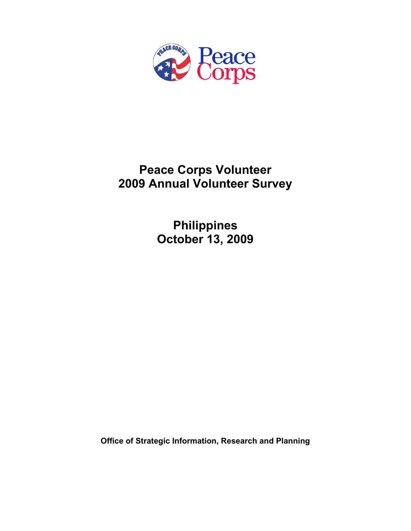

# **Peace Corps Volunteer 2009 Annual Volunteer Survey**

**Philippines October 13, 2009** 

**Office of Strategic Information, Research and Planning**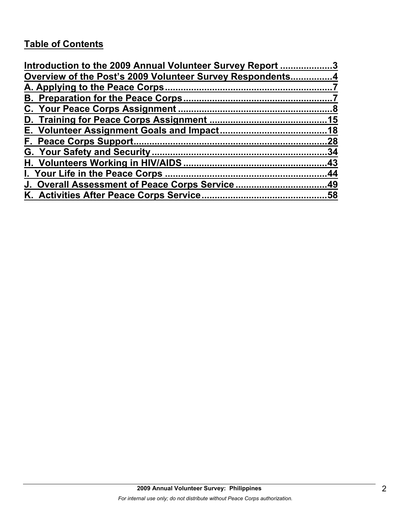# **Table of Contents**

| Introduction to the 2009 Annual Volunteer Survey Report 3 |     |
|-----------------------------------------------------------|-----|
| Overview of the Post's 2009 Volunteer Survey Respondents4 |     |
|                                                           |     |
|                                                           |     |
|                                                           |     |
|                                                           |     |
|                                                           |     |
|                                                           | .28 |
|                                                           |     |
|                                                           |     |
|                                                           |     |
| J. Overall Assessment of Peace Corps Service49            |     |
|                                                           |     |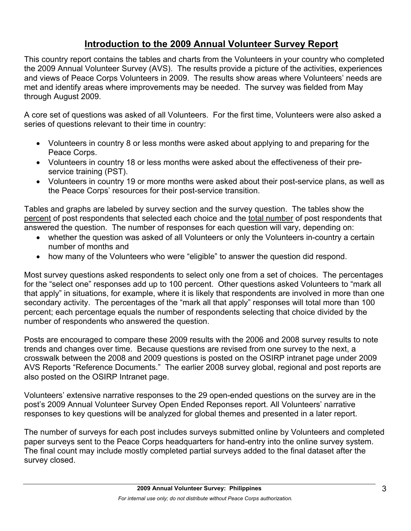## **Introduction to the 2009 Annual Volunteer Survey Report**

This country report contains the tables and charts from the Volunteers in your country who completed the 2009 Annual Volunteer Survey (AVS). The results provide a picture of the activities, experiences and views of Peace Corps Volunteers in 2009. The results show areas where Volunteers' needs are met and identify areas where improvements may be needed. The survey was fielded from May through August 2009.

A core set of questions was asked of all Volunteers. For the first time, Volunteers were also asked a series of questions relevant to their time in country:

- Volunteers in country 8 or less months were asked about applying to and preparing for the Peace Corps.
- Volunteers in country 18 or less months were asked about the effectiveness of their preservice training (PST).
- Volunteers in country 19 or more months were asked about their post-service plans, as well as the Peace Corps' resources for their post-service transition.

Tables and graphs are labeled by survey section and the survey question. The tables show the percent of post respondents that selected each choice and the total number of post respondents that answered the question. The number of responses for each question will vary, depending on:

- whether the question was asked of all Volunteers or only the Volunteers in-country a certain number of months and
- how many of the Volunteers who were "eligible" to answer the question did respond.

Most survey questions asked respondents to select only one from a set of choices. The percentages for the "select one" responses add up to 100 percent. Other questions asked Volunteers to "mark all that apply" in situations, for example, where it is likely that respondents are involved in more than one secondary activity. The percentages of the "mark all that apply" responses will total more than 100 percent; each percentage equals the number of respondents selecting that choice divided by the number of respondents who answered the question.

Posts are encouraged to compare these 2009 results with the 2006 and 2008 survey results to note trends and changes over time. Because questions are revised from one survey to the next, a crosswalk between the 2008 and 2009 questions is posted on the OSIRP intranet page under 2009 AVS Reports "Reference Documents." The earlier 2008 survey global, regional and post reports are also posted on the OSIRP Intranet page.

Volunteers' extensive narrative responses to the 29 open-ended questions on the survey are in the post's 2009 Annual Volunteer Survey Open Ended Reponses report. All Volunteers' narrative responses to key questions will be analyzed for global themes and presented in a later report.

The number of surveys for each post includes surveys submitted online by Volunteers and completed paper surveys sent to the Peace Corps headquarters for hand-entry into the online survey system. The final count may include mostly completed partial surveys added to the final dataset after the survey closed.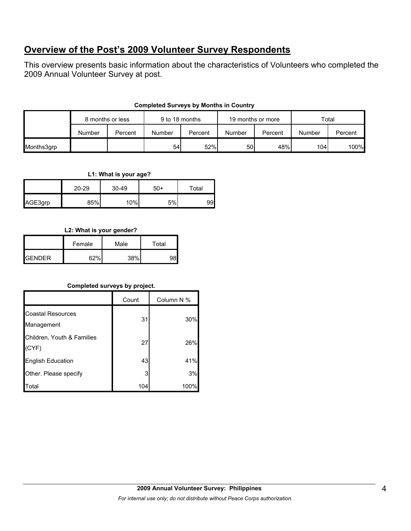## **Overview of the Post's 2009 Volunteer Survey Respondents**

This overview presents basic information about the characteristics of Volunteers who completed the 2009 Annual Volunteer Survey at post.

## **Completed Surveys by Months in Country**

|            |        | 8 months or less |        | 9 to 18 months<br>19 months or more |        | Total   |        |         |
|------------|--------|------------------|--------|-------------------------------------|--------|---------|--------|---------|
|            | Number | Percent          | Number | Percent                             | Number | Percent | Number | Percent |
| Months3grp |        |                  | 54     | 52%                                 | 50     | 48%     | 104l   | 100%    |

**L1: What is your age?**

|         | $20 - 29$ | $30 - 49$ | $50+$ | Total |
|---------|-----------|-----------|-------|-------|
| AGE3grp | 85%       | 10%       | 5%    | 99    |

## **L2: What is your gender?**

|                | Female | Male | Total |  |
|----------------|--------|------|-------|--|
| <b>IGENDER</b> | G70/   | 38%  |       |  |

## **Completed surveys by project.**

|                                        | Count | Column N % |
|----------------------------------------|-------|------------|
| <b>Coastal Resources</b><br>Management | 31    | 30%        |
| Children, Youth & Families<br>(CYF)    | 27    | 26%        |
| English Education                      | 43    | 41%        |
| Other. Please specify                  | 3     | 3%         |
| Total                                  | 104   | 100%       |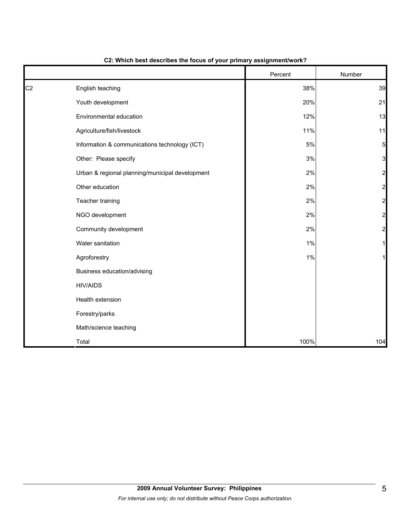|                |                                                 | Percent | Number                  |
|----------------|-------------------------------------------------|---------|-------------------------|
| C <sub>2</sub> | English teaching                                | 38%     | 39                      |
|                | Youth development                               | 20%     | 21                      |
|                | Environmental education                         | 12%     | 13                      |
|                | Agriculture/fish/livestock                      | 11%     | 11                      |
|                | Information & communications technology (ICT)   | $5\%$   | 5                       |
|                | Other: Please specify                           | 3%      | 3                       |
|                | Urban & regional planning/municipal development | 2%      | $\overline{\mathbf{c}}$ |
|                | Other education                                 | 2%      | $\overline{\mathbf{c}}$ |
|                | Teacher training                                | 2%      | $\overline{a}$          |
|                | NGO development                                 | 2%      | $\overline{\mathbf{c}}$ |
|                | Community development                           | 2%      | $\overline{c}$          |
|                | Water sanitation                                | 1%      |                         |
|                | Agroforestry                                    | 1%      | 1                       |
|                | Business education/advising                     |         |                         |
|                | <b>HIV/AIDS</b>                                 |         |                         |
|                | Health extension                                |         |                         |
|                | Forestry/parks                                  |         |                         |
|                | Math/science teaching                           |         |                         |
|                | Total                                           | 100%    | 104                     |

#### **C2: Which best describes the focus of your primary assignment/work?**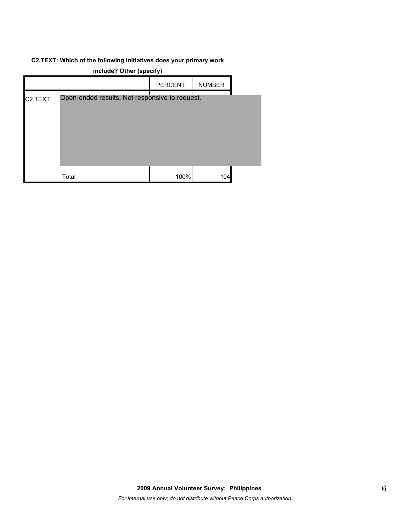#### **C2.TEXT: Which of the following initiatives does your primary work**

| include? Other (specify) |                                                |                |               |  |
|--------------------------|------------------------------------------------|----------------|---------------|--|
|                          |                                                | <b>PERCENT</b> | <b>NUMBER</b> |  |
| C <sub>2</sub> .TEXT     | Open-ended results. Not responsive to request. |                |               |  |
|                          | Total                                          | 100%           | 104           |  |

**include? Other (specify)**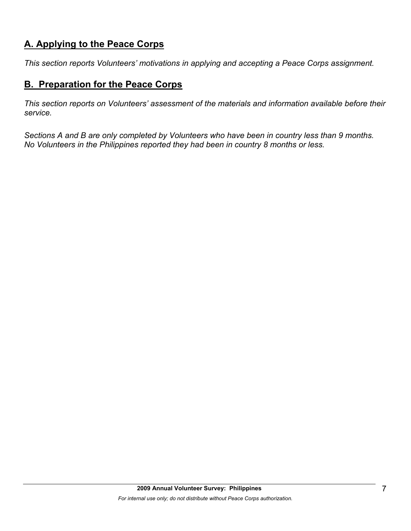## **A. Applying to the Peace Corps**

*This section reports Volunteers' motivations in applying and accepting a Peace Corps assignment.* 

## **B. Preparation for the Peace Corps**

*This section reports on Volunteers' assessment of the materials and information available before their service.* 

*Sections A and B are only completed by Volunteers who have been in country less than 9 months. No Volunteers in the Philippines reported they had been in country 8 months or less.*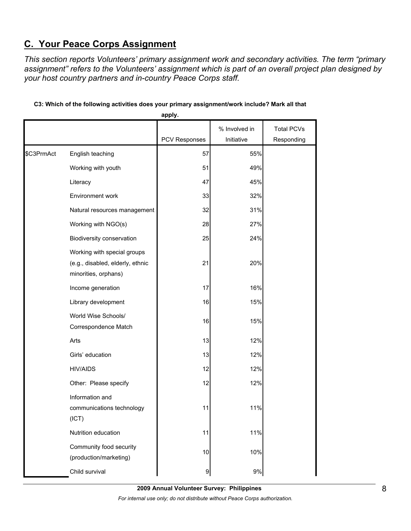# **C. Your Peace Corps Assignment**

*This section reports Volunteers' primary assignment work and secondary activities. The term "primary assignment" refers to the Volunteers' assignment which is part of an overall project plan designed by your host country partners and in-country Peace Corps staff.* 

|            |                                                                                         | apply.        |                             |                                 |
|------------|-----------------------------------------------------------------------------------------|---------------|-----------------------------|---------------------------------|
|            |                                                                                         | PCV Responses | % Involved in<br>Initiative | <b>Total PCVs</b><br>Responding |
|            |                                                                                         |               |                             |                                 |
| \$C3PrmAct | English teaching                                                                        | 57            | 55%                         |                                 |
|            | Working with youth                                                                      | 51            | 49%                         |                                 |
|            | Literacy                                                                                | 47            | 45%                         |                                 |
|            | Environment work                                                                        | 33            | 32%                         |                                 |
|            | Natural resources management                                                            | 32            | 31%                         |                                 |
|            | Working with NGO(s)                                                                     | 28            | 27%                         |                                 |
|            | Biodiversity conservation                                                               | 25            | 24%                         |                                 |
|            | Working with special groups<br>(e.g., disabled, elderly, ethnic<br>minorities, orphans) | 21            | 20%                         |                                 |
|            | Income generation                                                                       | 17            | 16%                         |                                 |
|            | Library development                                                                     | 16            | 15%                         |                                 |
|            | World Wise Schools/<br>Correspondence Match                                             | 16            | 15%                         |                                 |
|            | Arts                                                                                    | 13            | 12%                         |                                 |
|            | Girls' education                                                                        | 13            | 12%                         |                                 |
|            | <b>HIV/AIDS</b>                                                                         | 12            | 12%                         |                                 |
|            | Other: Please specify                                                                   | 12            | 12%                         |                                 |
|            | Information and<br>communications technology<br>(ICT)                                   | 11            | 11%                         |                                 |
|            | Nutrition education                                                                     | 11            | 11%                         |                                 |
|            | Community food security<br>(production/marketing)                                       | 10            | 10%                         |                                 |
|            | Child survival                                                                          | 9             | $9\%$                       |                                 |

## **C3: Which of the following activities does your primary assignment/work include? Mark all that**

**2009 Annual Volunteer Survey: Philippines**  *For internal use only; do not distribute without Peace Corps authorization.*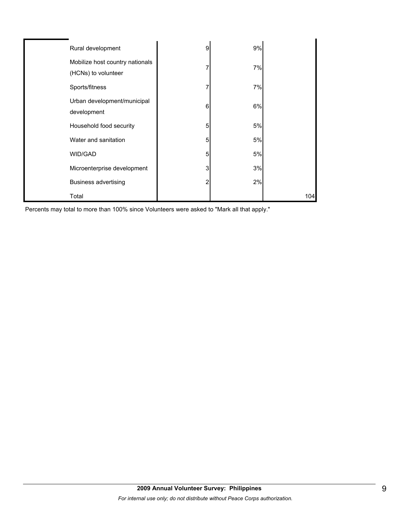| Rural development           |                                 | 9 | 9% |     |
|-----------------------------|---------------------------------|---|----|-----|
| (HCNs) to volunteer         | Mobilize host country nationals |   | 7% |     |
| Sports/fitness              |                                 |   | 7% |     |
| development                 | Urban development/municipal     | 6 | 6% |     |
| Household food security     |                                 | 5 | 5% |     |
| Water and sanitation        |                                 | 5 | 5% |     |
| WID/GAD                     |                                 | 5 | 5% |     |
|                             | Microenterprise development     | 3 | 3% |     |
| <b>Business advertising</b> |                                 | 2 | 2% |     |
| Total                       |                                 |   |    | 104 |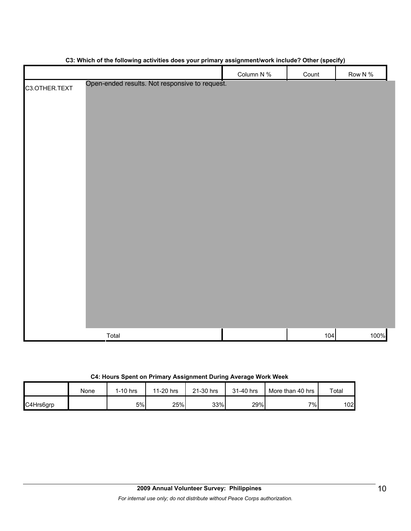|                                                | <u>a.</u><br>Column N % | $\frac{1}{2}$<br>Count | Row N % |
|------------------------------------------------|-------------------------|------------------------|---------|
| Open-ended results. Not responsive to request. |                         |                        |         |
| C3.OTHER.TEXT                                  |                         |                        |         |
|                                                |                         |                        |         |
|                                                |                         |                        |         |
|                                                |                         |                        |         |
|                                                |                         |                        |         |
|                                                |                         |                        |         |
|                                                |                         |                        |         |
|                                                |                         |                        |         |
|                                                |                         |                        |         |
|                                                |                         |                        |         |
|                                                |                         |                        |         |
|                                                |                         |                        |         |
|                                                |                         |                        |         |
|                                                |                         |                        |         |
|                                                |                         |                        |         |
|                                                |                         |                        |         |
|                                                |                         |                        |         |
|                                                |                         |                        |         |
|                                                |                         |                        |         |
|                                                |                         |                        |         |
|                                                |                         |                        |         |
|                                                |                         |                        |         |
|                                                |                         |                        |         |
|                                                |                         |                        |         |
| Total                                          |                         | 104                    | 100%    |

## **C3: Which of the following activities does your primary assignment/work include? Other (specify)**

|           | None | $1-10$ hrs | 11-20 hrs | 21-30 hrs | 31-40 hrs | More than 40 hrs | Total |
|-----------|------|------------|-----------|-----------|-----------|------------------|-------|
| C4Hrs6grp |      | 5%         | 25%       | 33%       | 29%       | 7%               | 102   |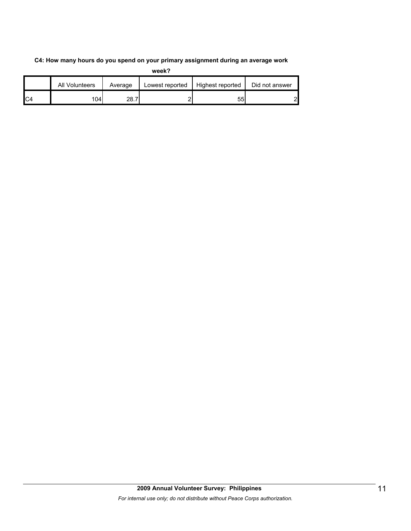#### **C4: How many hours do you spend on your primary assignment during an average work**

|    | All Volunteers | Average | Lowest reported | Highest reported | Did not answer |
|----|----------------|---------|-----------------|------------------|----------------|
| C4 | 104l           | 28.7    |                 | 55               | റ              |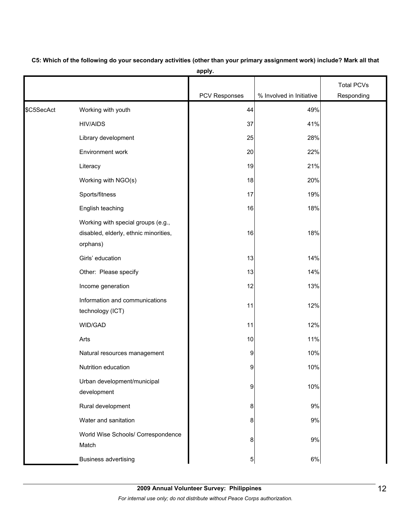|            |                                                                                         |               |                          | <b>Total PCVs</b> |
|------------|-----------------------------------------------------------------------------------------|---------------|--------------------------|-------------------|
|            |                                                                                         | PCV Responses | % Involved in Initiative | Responding        |
| \$C5SecAct | Working with youth                                                                      | 44            | 49%                      |                   |
|            | <b>HIV/AIDS</b>                                                                         | 37            | 41%                      |                   |
|            | Library development                                                                     | 25            | 28%                      |                   |
|            | Environment work                                                                        | 20            | 22%                      |                   |
|            | Literacy                                                                                | 19            | 21%                      |                   |
|            | Working with NGO(s)                                                                     | 18            | 20%                      |                   |
|            | Sports/fitness                                                                          | 17            | 19%                      |                   |
|            | English teaching                                                                        | 16            | 18%                      |                   |
|            | Working with special groups (e.g.,<br>disabled, elderly, ethnic minorities,<br>orphans) | 16            | 18%                      |                   |
|            | Girls' education                                                                        | 13            | 14%                      |                   |
|            | Other: Please specify                                                                   | 13            | 14%                      |                   |
|            | Income generation                                                                       | 12            | 13%                      |                   |
|            | Information and communications<br>technology (ICT)                                      | 11            | 12%                      |                   |
|            | WID/GAD                                                                                 | 11            | 12%                      |                   |
|            | Arts                                                                                    | 10            | 11%                      |                   |
|            | Natural resources management                                                            | 9             | 10%                      |                   |
|            | Nutrition education                                                                     | 9             | 10%                      |                   |
|            | Urban development/municipal<br>development                                              | 9             | 10%                      |                   |
|            | Rural development                                                                       | 8             | 9%                       |                   |
|            | Water and sanitation                                                                    | 8             | 9%                       |                   |
|            | World Wise Schools/ Correspondence<br>Match                                             | 8             | 9%                       |                   |
|            | <b>Business advertising</b>                                                             | 5             | $6\%$                    |                   |

**C5: Which of the following do your secondary activities (other than your primary assignment work) include? Mark all that apply.**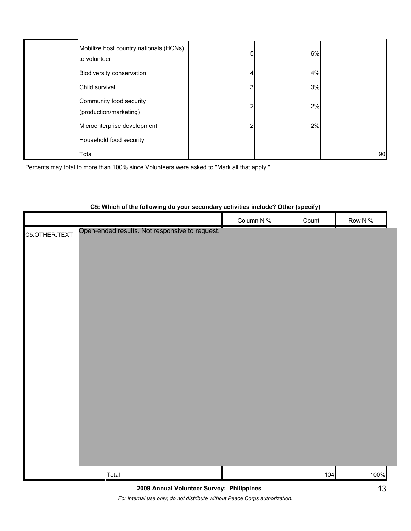| Mobilize host country nationals (HCNs)<br>to volunteer | 5 | 6% |    |
|--------------------------------------------------------|---|----|----|
| Biodiversity conservation                              |   | 4% |    |
| Child survival                                         | 3 | 3% |    |
| Community food security<br>(production/marketing)      | ◠ | 2% |    |
| Microenterprise development                            | ◠ | 2% |    |
| Household food security                                |   |    |    |
| Total                                                  |   |    | 90 |

Percents may total to more than 100% since Volunteers were asked to "Mark all that apply."

|               | oo, millon of the following as your occorrancy activities included fother (opeenly) |            |       |         |
|---------------|-------------------------------------------------------------------------------------|------------|-------|---------|
|               |                                                                                     | Column N % | Count | Row N % |
|               | Open-ended results. Not responsive to request.                                      |            |       |         |
| C5.OTHER.TEXT |                                                                                     |            |       |         |
|               |                                                                                     |            |       |         |
|               |                                                                                     |            |       |         |
|               |                                                                                     |            |       |         |
|               |                                                                                     |            |       |         |
|               |                                                                                     |            |       |         |
|               |                                                                                     |            |       |         |
|               |                                                                                     |            |       |         |
|               |                                                                                     |            |       |         |
|               |                                                                                     |            |       |         |
|               |                                                                                     |            |       |         |
|               |                                                                                     |            |       |         |
|               |                                                                                     |            |       |         |
|               |                                                                                     |            |       |         |
|               |                                                                                     |            |       |         |
|               |                                                                                     |            |       |         |
|               |                                                                                     |            |       |         |
|               |                                                                                     |            |       |         |
|               |                                                                                     |            |       |         |
|               |                                                                                     |            |       |         |
|               |                                                                                     |            |       |         |
|               |                                                                                     |            |       |         |
|               |                                                                                     |            |       |         |
|               |                                                                                     |            |       |         |
|               |                                                                                     |            |       |         |
|               |                                                                                     |            |       |         |
|               |                                                                                     |            |       |         |
|               |                                                                                     |            |       |         |
|               | Total                                                                               |            | 104   | 100%    |
|               |                                                                                     |            |       |         |

#### **C5: Which of the following do your secondary activities include? Other (specify)**

**2009 Annual Volunteer Survey: Philippines** 

*For internal use only; do not distribute without Peace Corps authorization.*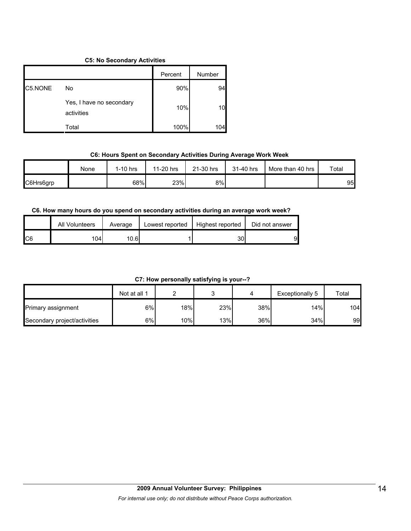#### **C5: No Secondary Activities**

|         |                                        | Percent | Number |
|---------|----------------------------------------|---------|--------|
| C5.NONE | No                                     | 90%     | 94     |
|         | Yes, I have no secondary<br>activities | 10%     |        |
|         | Total                                  | 100%    | 104    |

### **C6: Hours Spent on Secondary Activities During Average Work Week**

|           | None | $1-10$ hrs | 11-20 hrs | 21-30 hrs | 31-40 hrs | More than 40 hrs | Total |
|-----------|------|------------|-----------|-----------|-----------|------------------|-------|
| C6Hrs6grp |      | 68%        | 23%       | 8%l       |           |                  | 95    |

## **C6. How many hours do you spend on secondary activities during an average work week?**

|     | All Volunteers | Average | Lowest reported | Highest reported | Did not answer |
|-----|----------------|---------|-----------------|------------------|----------------|
| IC6 | 104            | 10.6    |                 | 30               | 91             |

**C7: How personally satisfying is your--?**

|                              | Not at all 1 |                  |     |     | Exceptionally 5 | Total |
|------------------------------|--------------|------------------|-----|-----|-----------------|-------|
| Primary assignment           | 6%           | 18% <sub>I</sub> | 23% | 38% | 14%             | 104   |
| Secondary project/activities | $6\%$        | $10\%$           | 13% | 36% | 34%             | 99    |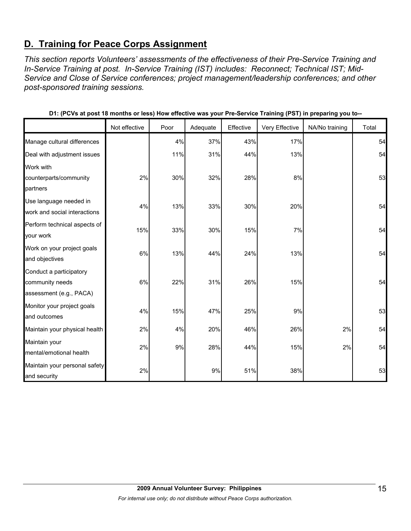## **D. Training for Peace Corps Assignment**

*This section reports Volunteers' assessments of the effectiveness of their Pre-Service Training and In-Service Training at post. In-Service Training (IST) includes: Reconnect; Technical IST; Mid-Service and Close of Service conferences; project management/leadership conferences; and other post-sponsored training sessions.* 

|                                                                       | Not effective | Poor | Adequate | Effective | Very Effective | NA/No training | Total |
|-----------------------------------------------------------------------|---------------|------|----------|-----------|----------------|----------------|-------|
| Manage cultural differences                                           |               | 4%   | 37%      | 43%       | 17%            |                | 54    |
| Deal with adjustment issues                                           |               | 11%  | 31%      | 44%       | 13%            |                | 54    |
| Work with                                                             |               |      |          |           |                |                |       |
| counterparts/community<br>partners                                    | 2%            | 30%  | 32%      | 28%       | 8%             |                | 53    |
| Use language needed in<br>work and social interactions                | 4%            | 13%  | 33%      | 30%       | 20%            |                | 54    |
| Perform technical aspects of<br>your work                             | 15%           | 33%  | 30%      | 15%       | 7%             |                | 54    |
| Work on your project goals<br>and objectives                          | 6%            | 13%  | 44%      | 24%       | 13%            |                | 54    |
| Conduct a participatory<br>community needs<br>assessment (e.g., PACA) | 6%            | 22%  | 31%      | 26%       | 15%            |                | 54    |
| Monitor your project goals<br>and outcomes                            | 4%            | 15%  | 47%      | 25%       | 9%             |                | 53    |
| Maintain your physical health                                         | 2%            | 4%   | 20%      | 46%       | 26%            | 2%             | 54    |
| Maintain your<br>mental/emotional health                              | 2%            | 9%   | 28%      | 44%       | 15%            | 2%             | 54    |
| Maintain your personal safety<br>and security                         | 2%            |      | 9%       | 51%       | 38%            |                | 53    |

**D1: (PCVs at post 18 months or less) How effective was your Pre-Service Training (PST) in preparing you to--**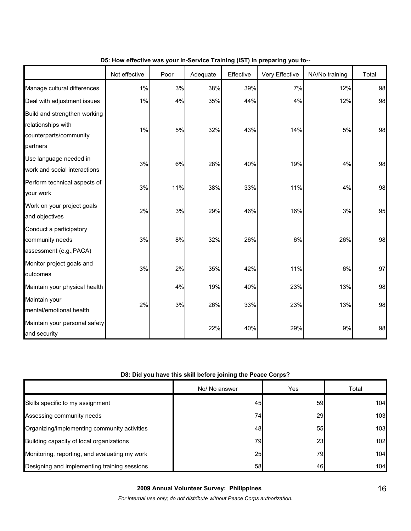|                                                                                          | Not effective | Poor | Adequate | Effective | Very Effective | NA/No training | Total |
|------------------------------------------------------------------------------------------|---------------|------|----------|-----------|----------------|----------------|-------|
| Manage cultural differences                                                              | 1%            | 3%   | 38%      | 39%       | 7%             | 12%            | 98    |
| Deal with adjustment issues                                                              | 1%            | 4%   | 35%      | 44%       | 4%             | 12%            | 98    |
| Build and strengthen working<br>relationships with<br>counterparts/community<br>partners | 1%            | 5%   | 32%      | 43%       | 14%            | 5%             | 98    |
| Use language needed in<br>work and social interactions                                   | 3%            | 6%   | 28%      | 40%       | 19%            | 4%             | 98    |
| Perform technical aspects of<br>your work                                                | 3%            | 11%  | 38%      | 33%       | 11%            | 4%             | 98    |
| Work on your project goals<br>and objectives                                             | 2%            | 3%   | 29%      | 46%       | 16%            | 3%             | 95    |
| Conduct a participatory<br>community needs<br>assessment (e.g., PACA)                    | 3%            | 8%   | 32%      | 26%       | 6%             | 26%            | 98    |
| Monitor project goals and<br>outcomes                                                    | 3%            | 2%   | 35%      | 42%       | 11%            | 6%             | 97    |
| Maintain your physical health                                                            |               | 4%   | 19%      | 40%       | 23%            | 13%            | 98    |
| Maintain your<br>mental/emotional health                                                 | 2%            | 3%   | 26%      | 33%       | 23%            | 13%            | 98    |
| Maintain your personal safety<br>and security                                            |               |      | 22%      | 40%       | 29%            | 9%             | 98    |

## **D5: How effective was your In-Service Training (IST) in preparing you to--**

## **D8: Did you have this skill before joining the Peace Corps?**

|                                               | No/ No answer | Yes       | Total            |
|-----------------------------------------------|---------------|-----------|------------------|
| Skills specific to my assignment              | 45            | 59        | 104 <sub>h</sub> |
| Assessing community needs                     | 74            | <b>29</b> | 103              |
| Organizing/implementing community activities  | 48            | 55        | 103              |
| Building capacity of local organizations      | 79            | <b>23</b> | 102              |
| Monitoring, reporting, and evaluating my work | 25            | 79)       | 104              |
| Designing and implementing training sessions  | 58            | 46        | 104              |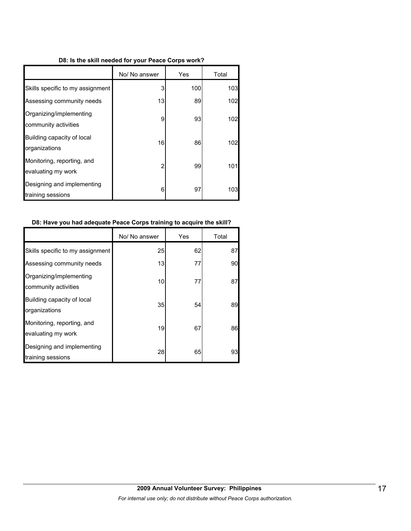#### **D8: Is the skill needed for your Peace Corps work?**

|                                                  | No/ No answer | Yes | Total |
|--------------------------------------------------|---------------|-----|-------|
| Skills specific to my assignment                 | 3             | 100 | 103   |
| Assessing community needs                        | 13            | 89  | 102   |
| Organizing/implementing<br>community activities  | 9             | 93  | 102   |
| Building capacity of local<br>organizations      | 16            | 86  | 102   |
| Monitoring, reporting, and<br>evaluating my work | 2             | 99  | 101   |
| Designing and implementing<br>training sessions  | 6             | 97  | 103   |

#### **D8: Have you had adequate Peace Corps training to acquire the skill?**

|                                                  | No/ No answer | Yes | Total |
|--------------------------------------------------|---------------|-----|-------|
| Skills specific to my assignment                 | 25            | 62  | 87    |
| Assessing community needs                        | 13            | 77  | 90    |
| Organizing/implementing<br>community activities  | 10            | 77  | 87    |
| Building capacity of local<br>organizations      | 35            | 54  | 89    |
| Monitoring, reporting, and<br>evaluating my work | 19            | 67  | 86    |
| Designing and implementing<br>training sessions  | 28            | 65  | 93    |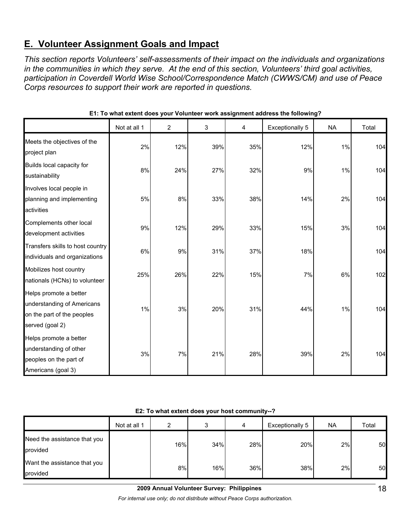## **E. Volunteer Assignment Goals and Impact**

*This section reports Volunteers' self-assessments of their impact on the individuals and organizations in the communities in which they serve. At the end of this section, Volunteers' third goal activities, participation in Coverdell World Wise School/Correspondence Match (CWWS/CM) and use of Peace Corps resources to support their work are reported in questions.* 

|                                                                                                       | Not at all 1 | 2   | $\mathbf{3}$ | 4   | Exceptionally 5 | <b>NA</b> | Total |
|-------------------------------------------------------------------------------------------------------|--------------|-----|--------------|-----|-----------------|-----------|-------|
| Meets the objectives of the<br>project plan                                                           | 2%           | 12% | 39%          | 35% | 12%             | 1%        | 104   |
| Builds local capacity for<br>sustainability                                                           | 8%           | 24% | 27%          | 32% | 9%              | 1%        | 104   |
| Involves local people in<br>planning and implementing<br>activities                                   | 5%           | 8%  | 33%          | 38% | 14%             | 2%        | 104   |
| Complements other local<br>development activities                                                     | 9%           | 12% | 29%          | 33% | 15%             | 3%        | 104   |
| Transfers skills to host country<br>individuals and organizations                                     | 6%           | 9%  | 31%          | 37% | 18%             |           | 104   |
| Mobilizes host country<br>nationals (HCNs) to volunteer                                               | 25%          | 26% | 22%          | 15% | 7%              | 6%        | 102   |
| Helps promote a better<br>understanding of Americans<br>on the part of the peoples<br>served (goal 2) | 1%           | 3%  | 20%          | 31% | 44%             | 1%        | 104   |
| Helps promote a better<br>understanding of other<br>peoples on the part of<br>Americans (goal 3)      | 3%           | 7%  | 21%          | 28% | 39%             | 2%        | 104   |

**E1: To what extent does your Volunteer work assignment address the following?**

| E2: To what extent does your host community--? |
|------------------------------------------------|
|------------------------------------------------|

|                                          | Not at all 1 | ົ   | ິ   | 4   | Exceptionally 5 | <b>NA</b> | Total |
|------------------------------------------|--------------|-----|-----|-----|-----------------|-----------|-------|
| Need the assistance that you<br>provided |              | 16% | 34% | 28% | 20%             | 2%        | 50    |
| Want the assistance that you<br>provided |              | 8%  | 16% | 36% | 38%             | 2%        | 50    |

## **2009 Annual Volunteer Survey: Philippines**

*For internal use only; do not distribute without Peace Corps authorization.*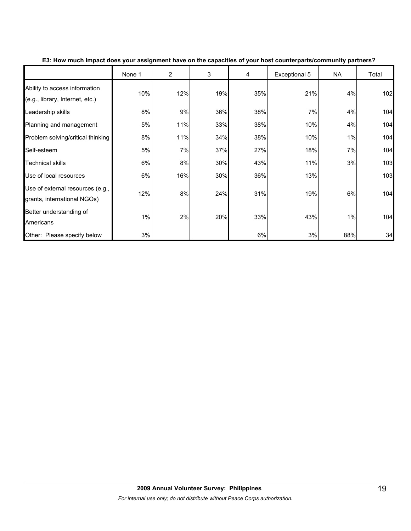|                                                                  | None 1 | $\overline{2}$ | 3   | 4   | Exceptional 5 | <b>NA</b> | Total |
|------------------------------------------------------------------|--------|----------------|-----|-----|---------------|-----------|-------|
| Ability to access information<br>(e.g., library, Internet, etc.) | 10%    | 12%            | 19% | 35% | 21%           | 4%        | 102   |
| Leadership skills                                                | 8%     | 9%             | 36% | 38% | 7%            | 4%        | 104   |
| Planning and management                                          | 5%     | 11%            | 33% | 38% | 10%           | 4%        | 104   |
| Problem solving/critical thinking                                | 8%     | 11%            | 34% | 38% | 10%           | $1\%$     | 104   |
| Self-esteem                                                      | 5%     | 7%             | 37% | 27% | 18%           | 7%        | 104   |
| <b>Technical skills</b>                                          | 6%     | 8%             | 30% | 43% | 11%           | 3%        | 103   |
| Use of local resources                                           | 6%     | 16%            | 30% | 36% | 13%           |           | 103   |
| Use of external resources (e.g.,<br>grants, international NGOs)  | 12%    | 8%             | 24% | 31% | 19%           | 6%        | 104   |
| Better understanding of<br>Americans                             | 1%     | 2%             | 20% | 33% | 43%           | 1%        | 104   |
| Other: Please specify below                                      | 3%     |                |     | 6%  | 3%            | 88%       | 34    |

**E3: How much impact does your assignment have on the capacities of your host counterparts/community partners?**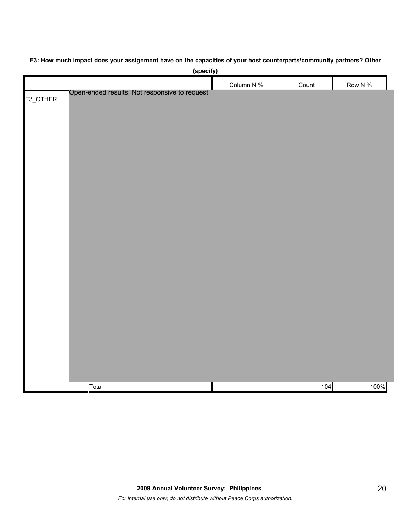| (specify)                                                  |            |       |            |
|------------------------------------------------------------|------------|-------|------------|
|                                                            | Column N % | Count | Row N $\%$ |
| Open-ended results. Not responsive to request.<br>E3_OTHER |            |       |            |
|                                                            |            |       |            |
|                                                            |            |       |            |
|                                                            |            |       |            |
|                                                            |            |       |            |
|                                                            |            |       |            |
|                                                            |            |       |            |
|                                                            |            |       |            |
|                                                            |            |       |            |
|                                                            |            |       |            |
|                                                            |            |       |            |
|                                                            |            |       |            |
|                                                            |            |       |            |
|                                                            |            |       |            |
|                                                            |            |       |            |
|                                                            |            |       |            |
|                                                            |            |       |            |
|                                                            |            |       |            |
|                                                            |            |       |            |
|                                                            |            |       |            |
|                                                            |            |       |            |
|                                                            |            |       |            |
|                                                            |            |       |            |
|                                                            |            |       |            |
|                                                            |            |       |            |
|                                                            |            |       |            |
| Total                                                      |            | 104   | 100%       |

## **E3: How much impact does your assignment have on the capacities of your host counterparts/community partners? Other**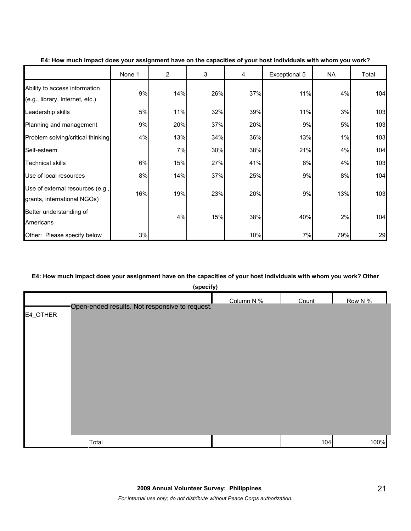|                                                                  | None 1 | $\overline{2}$ | 3   | 4   | Exceptional 5 | NA  | Total |
|------------------------------------------------------------------|--------|----------------|-----|-----|---------------|-----|-------|
| Ability to access information<br>(e.g., library, Internet, etc.) | 9%     | 14%            | 26% | 37% | 11%           | 4%  | 104   |
| Leadership skills                                                | 5%     | 11%            | 32% | 39% | 11%           | 3%  | 103   |
| Planning and management                                          | 9%     | 20%            | 37% | 20% | 9%            | 5%  | 103   |
| Problem solving/critical thinking                                | 4%     | 13%            | 34% | 36% | 13%           | 1%  | 103   |
| Self-esteem                                                      |        | 7%             | 30% | 38% | 21%           | 4%  | 104   |
| <b>Technical skills</b>                                          | 6%     | 15%            | 27% | 41% | 8%            | 4%  | 103   |
| Use of local resources                                           | 8%     | 14%            | 37% | 25% | 9%            | 8%  | 104   |
| Use of external resources (e.g.,<br>grants, international NGOs)  | 16%    | 19%            | 23% | 20% | 9%            | 13% | 103   |
| Better understanding of<br>Americans                             |        | 4%             | 15% | 38% | 40%           | 2%  | 104   |
| Other: Please specify below                                      | 3%     |                |     | 10% | 7%            | 79% | 29    |

#### **E4: How much impact does your assignment have on the capacities of your host individuals with whom you work?**

#### **E4: How much impact does your assignment have on the capacities of your host individuals with whom you work? Other**

|          | (specify)                                      |            |       |         |
|----------|------------------------------------------------|------------|-------|---------|
|          |                                                | Column N % | Count | Row N % |
| E4_OTHER | Open-ended results. Not responsive to request. |            |       |         |
|          | Total                                          |            | 104   | 100%    |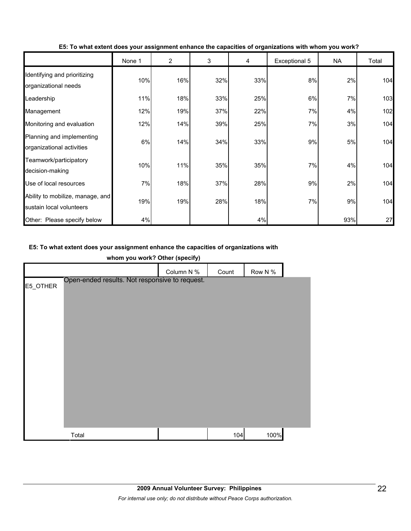|                                                              | None 1 | 2   | 3   | 4   | Exceptional 5 | <b>NA</b> | Total |
|--------------------------------------------------------------|--------|-----|-----|-----|---------------|-----------|-------|
| Identifying and prioritizing<br>organizational needs         | 10%    | 16% | 32% | 33% | 8%            | 2%        | 104   |
| Leadership                                                   | 11%    | 18% | 33% | 25% | 6%            | 7%        | 103   |
| Management                                                   | 12%    | 19% | 37% | 22% | 7%            | 4%        | 102   |
| Monitoring and evaluation                                    | 12%    | 14% | 39% | 25% | 7%            | 3%        | 104   |
| Planning and implementing<br>organizational activities       | 6%     | 14% | 34% | 33% | 9%            | 5%        | 104   |
| Teamwork/participatory<br>decision-making                    | 10%    | 11% | 35% | 35% | 7%            | 4%        | 104   |
| Use of local resources                                       | 7%     | 18% | 37% | 28% | 9%            | 2%        | 104   |
| Ability to mobilize, manage, and<br>sustain local volunteers | 19%    | 19% | 28% | 18% | 7%            | 9%        | 104   |
| Other: Please specify below                                  | 4%     |     |     | 4%  |               | 93%       | 27    |

**E5: To what extent does your assignment enhance the capacities of organizations with whom you work?**

## **E5: To what extent does your assignment enhance the capacities of organizations with**

| whom you work? Other (specify) |                                                |            |       |         |  |  |  |
|--------------------------------|------------------------------------------------|------------|-------|---------|--|--|--|
|                                |                                                | Column N % | Count | Row N % |  |  |  |
| E5_OTHER                       | Open-ended results. Not responsive to request. |            |       |         |  |  |  |
|                                |                                                |            |       |         |  |  |  |
|                                |                                                |            |       |         |  |  |  |
|                                |                                                |            |       |         |  |  |  |
|                                |                                                |            |       |         |  |  |  |
|                                |                                                |            |       |         |  |  |  |
|                                |                                                |            |       |         |  |  |  |
|                                |                                                |            |       |         |  |  |  |
|                                |                                                |            |       |         |  |  |  |
|                                |                                                |            |       |         |  |  |  |
|                                |                                                |            |       |         |  |  |  |
|                                |                                                |            |       |         |  |  |  |
|                                | Total                                          |            | 104   | 100%    |  |  |  |

**whom you work? Other (specify)**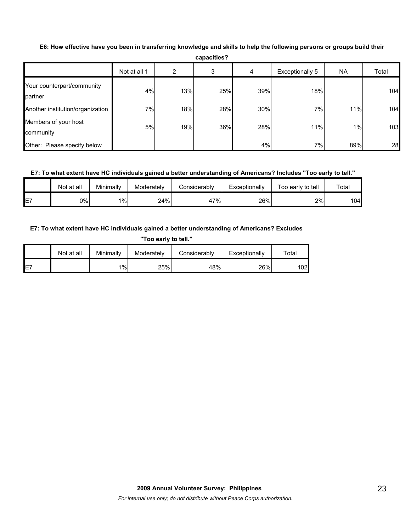| <b>capacities?</b>                    |              |     |     |     |                 |     |       |  |  |  |
|---------------------------------------|--------------|-----|-----|-----|-----------------|-----|-------|--|--|--|
|                                       | Not at all 1 | 2   | 3   | 4   | Exceptionally 5 | NA  | Total |  |  |  |
| Your counterpart/community<br>partner | 4%           | 13% | 25% | 39% | 18%             |     | 104   |  |  |  |
| Another institution/organization      | 7%           | 18% | 28% | 30% | 7%              | 11% | 104   |  |  |  |
| Members of your host<br>community     | 5%           | 19% | 36% | 28% | 11%             | 1%  | 103   |  |  |  |
| Other: Please specify below           |              |     |     | 4%  | 7%              | 89% | 28    |  |  |  |

**E6: How effective have you been in transferring knowledge and skills to help the following persons or groups build their** 

**capacities?**

## **E7: To what extent have HC individuals gained a better understanding of Americans? Includes "Too early to tell."**

|                 | Not at all | Minimally | Moderately | Considerablv | Exceptionally | Γοο early to tell | $\tau$ otal |
|-----------------|------------|-----------|------------|--------------|---------------|-------------------|-------------|
| IE <sub>7</sub> | 0%l        | $1\%$     | 24%        | $17\%$<br>41 | 26%           | 2%                | 104         |

## **E7: To what extent have HC individuals gained a better understanding of Americans? Excludes**

**"Too early to tell."**

|     | Not at all | Minimally | Moderatelv | Considerably | Exceptionally | Total |
|-----|------------|-----------|------------|--------------|---------------|-------|
| IE7 |            | 1%        | 25%        | 48%          | 26%           | 102   |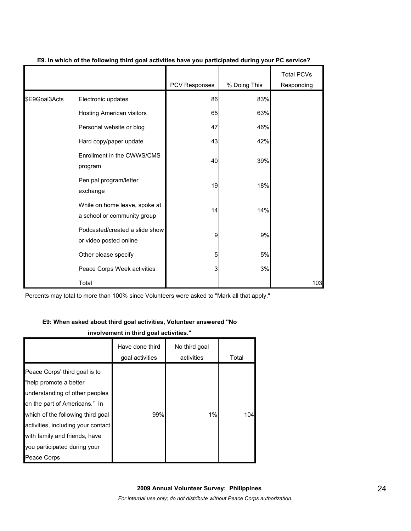|               |                                                              | PCV Responses | % Doing This | <b>Total PCVs</b><br>Responding |
|---------------|--------------------------------------------------------------|---------------|--------------|---------------------------------|
| \$E9Goal3Acts | Electronic updates                                           | 86            | 83%          |                                 |
|               | Hosting American visitors                                    | 65            | 63%          |                                 |
|               | Personal website or blog                                     | 47            | 46%          |                                 |
|               | Hard copy/paper update                                       | 43            | 42%          |                                 |
|               | Enrollment in the CWWS/CMS<br>program                        | 40            | 39%          |                                 |
|               | Pen pal program/letter<br>exchange                           | 19            | 18%          |                                 |
|               | While on home leave, spoke at<br>a school or community group | 14            | 14%          |                                 |
|               | Podcasted/created a slide show<br>or video posted online     | 9             | 9%           |                                 |
|               | Other please specify                                         | 5             | 5%           |                                 |
|               | Peace Corps Week activities                                  | 3             | 3%           |                                 |
|               | Total                                                        |               |              | 103                             |

## **E9. In which of the following third goal activities have you participated during your PC service?**

Percents may total to more than 100% since Volunteers were asked to "Mark all that apply."

#### **E9: When asked about third goal activities, Volunteer answered "No**

## **involvement in third goal activities."**

|                                    | Have done third<br>goal activities | No third goal<br>activities | Total |
|------------------------------------|------------------------------------|-----------------------------|-------|
|                                    |                                    |                             |       |
| Peace Corps' third goal is to      |                                    |                             |       |
| "help promote a better             |                                    |                             |       |
| understanding of other peoples     |                                    |                             |       |
| on the part of Americans." In      |                                    |                             |       |
| which of the following third goal  | 99%                                | 1%                          | 104   |
| activities, including your contact |                                    |                             |       |
| with family and friends, have      |                                    |                             |       |
| you participated during your       |                                    |                             |       |
| Peace Corps                        |                                    |                             |       |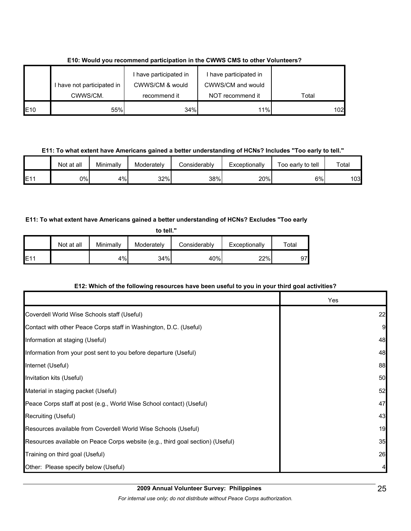|                 |                            | I have participated in | have participated in |       |
|-----------------|----------------------------|------------------------|----------------------|-------|
|                 | I have not participated in | CWWS/CM & would        | CWWS/CM and would    |       |
|                 | CWWS/CM.                   | recommend it           | NOT recommend it     | Total |
| E <sub>10</sub> | 55%                        | 34%                    | 11%                  | 102   |

**E10: Would you recommend participation in the CWWS CMS to other Volunteers?**

### **E11: To what extent have Americans gained a better understanding of HCNs? Includes "Too early to tell."**

|     | Not at all | Minimally | Moderatelv | Considerably | Exceptionally | Too early to tell | Total |
|-----|------------|-----------|------------|--------------|---------------|-------------------|-------|
| E1' | 0%l        | 4%        | 32%        | 38%          | 20%           | 6%                | 03    |

## **E11: To what extent have Americans gained a better understanding of HCNs? Excludes "Too early**

| to tell." |            |           |            |              |               |       |  |  |  |
|-----------|------------|-----------|------------|--------------|---------------|-------|--|--|--|
|           | Not at all | Minimally | Moderately | Considerably | Exceptionally | Total |  |  |  |
| E11       |            | 4%        | 34%        | 40%          | 22%           | 97    |  |  |  |

## **E12: Which of the following resources have been useful to you in your third goal activities?**

|                                                                                | Yes |
|--------------------------------------------------------------------------------|-----|
| Coverdell World Wise Schools staff (Useful)                                    | 22  |
| Contact with other Peace Corps staff in Washington, D.C. (Useful)              | 9   |
| Information at staging (Useful)                                                | 48  |
| Information from your post sent to you before departure (Useful)               | 48  |
| Internet (Useful)                                                              | 88  |
| Invitation kits (Useful)                                                       | 50  |
| Material in staging packet (Useful)                                            | 52  |
| Peace Corps staff at post (e.g., World Wise School contact) (Useful)           | 47  |
| Recruiting (Useful)                                                            | 43  |
| Resources available from Coverdell World Wise Schools (Useful)                 | 19  |
| Resources available on Peace Corps website (e.g., third goal section) (Useful) | 35  |
| Training on third goal (Useful)                                                | 26  |
| Other: Please specify below (Useful)                                           |     |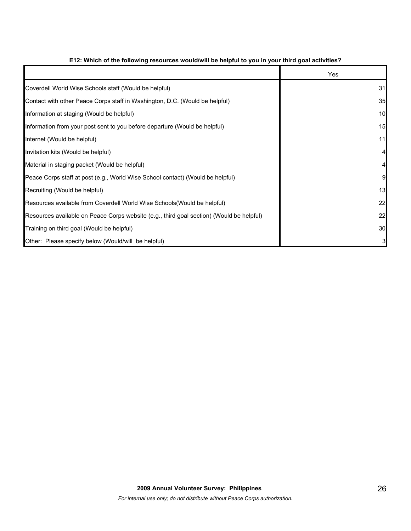|                                                                                          | Yes |
|------------------------------------------------------------------------------------------|-----|
| Coverdell World Wise Schools staff (Would be helpful)                                    | 31  |
| Contact with other Peace Corps staff in Washington, D.C. (Would be helpful)              | 35  |
| Information at staging (Would be helpful)                                                | 10  |
| Information from your post sent to you before departure (Would be helpful)               | 15  |
| Internet (Would be helpful)                                                              | 11  |
| Invitation kits (Would be helpful)                                                       |     |
| Material in staging packet (Would be helpful)                                            |     |
| Peace Corps staff at post (e.g., World Wise School contact) (Would be helpful)           | 9   |
| Recruiting (Would be helpful)                                                            | 13  |
| Resources available from Coverdell World Wise Schools (Would be helpful)                 | 22  |
| Resources available on Peace Corps website (e.g., third goal section) (Would be helpful) | 22  |
| Training on third goal (Would be helpful)                                                | 30  |
| Other: Please specify below (Would/will be helpful)                                      | 3   |

## **E12: Which of the following resources would/will be helpful to you in your third goal activities?**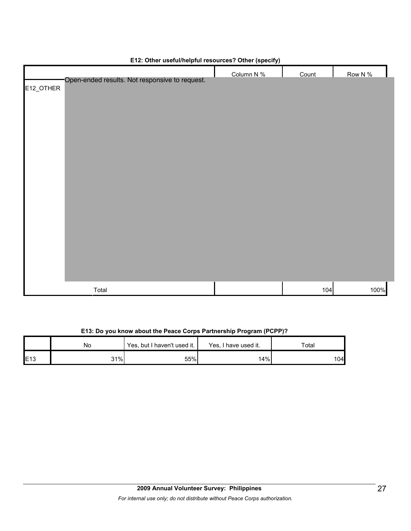| . .<br>Open-ended results. Not responsive to request. | $\cdot$ $\cdot$<br>$\cdot$ $\cdot$<br>Column N % | Count | Row N % |
|-------------------------------------------------------|--------------------------------------------------|-------|---------|
| E12_OTHER                                             |                                                  |       |         |
|                                                       |                                                  |       |         |
|                                                       |                                                  |       |         |
|                                                       |                                                  |       |         |
|                                                       |                                                  |       |         |
|                                                       |                                                  |       |         |
|                                                       |                                                  |       |         |
|                                                       |                                                  |       |         |
| Total                                                 |                                                  | 104   | 100%    |

## **E12: Other useful/helpful resources? Other (specify)**

## **E13: Do you know about the Peace Corps Partnership Program (PCPP)?**

|      | No  | Yes, but I haven't used it. | Yes, I have used it. | Total |
|------|-----|-----------------------------|----------------------|-------|
| IE13 | 31% | 55%                         | 14%                  | 104   |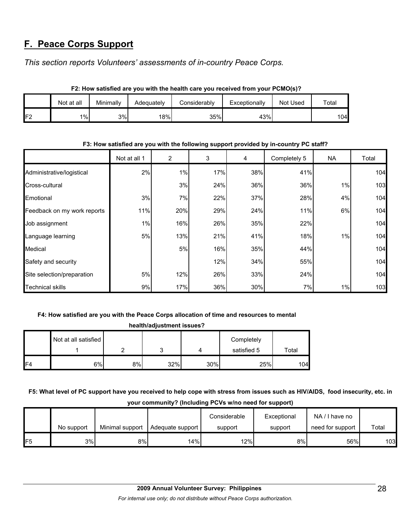## **F. Peace Corps Support**

*This section reports Volunteers' assessments of in-country Peace Corps.* 

| F2: How satisfied are you with the health care you received from your PUMO(S)? |            |           |            |              |               |          |       |  |
|--------------------------------------------------------------------------------|------------|-----------|------------|--------------|---------------|----------|-------|--|
|                                                                                | Not at all | Minimally | Adequately | Considerablv | Exceptionally | Not Used | Total |  |
| IF2                                                                            | $1\%$      | 3%        | 18%        | 35%          | 43%           |          | 104∎  |  |

**F2: How satisfied are you with the health care you received from your PCMO(s)?**

|                             | Not at all 1 | $\overline{2}$ | 3   | 4   | Completely 5 | NA.   | Total |
|-----------------------------|--------------|----------------|-----|-----|--------------|-------|-------|
| Administrative/logistical   | 2%           | 1%             | 17% | 38% | 41%          |       | 104   |
| Cross-cultural              |              | 3%             | 24% | 36% | 36%          | 1%    | 103   |
| Emotional                   | 3%           | 7%             | 22% | 37% | 28%          | 4%    | 104   |
| Feedback on my work reports | 11%          | 20%            | 29% | 24% | 11%          | 6%    | 104   |
| Job assignment              | $1\%$        | 16%            | 26% | 35% | 22%          |       | 104   |
| Language learning           | 5%           | 13%            | 21% | 41% | 18%          | 1%    | 104   |
| Medical                     |              | 5%             | 16% | 35% | 44%          |       | 104   |
| Safety and security         |              |                | 12% | 34% | 55%          |       | 104   |
| Site selection/preparation  | 5%           | 12%            | 26% | 33% | 24%          |       | 104   |
| <b>Technical skills</b>     | 9%           | 17%            | 36% | 30% | 7%           | $1\%$ | 103   |

### **F3: How satisfied are you with the following support provided by in-country PC staff?**

## **F4: How satisfied are you with the Peace Corps allocation of time and resources to mental**

|     | health/adjustment issues? |    |     |     |             |       |  |  |
|-----|---------------------------|----|-----|-----|-------------|-------|--|--|
|     | Not at all satisfied      |    |     |     | Completely  |       |  |  |
|     |                           | ◠  |     |     | satisfied 5 | Total |  |  |
| IF4 | 6%                        | 8% | 32% | 30% | 25%         | 104   |  |  |

**F5: What level of PC support have you received to help cope with stress from issues such as HIV/AIDS, food insecurity, etc. in your community? (Including PCVs w/no need for support)**

|     |            |                 |                  | Considerable | Exceptional | NA/I have no     |       |
|-----|------------|-----------------|------------------|--------------|-------------|------------------|-------|
|     | No support | Minimal support | Adequate support | support      | support     | need for support | Total |
| IF5 | 3%         | 8%              | 14%              | 12%          | 8%          | 56%              | 103   |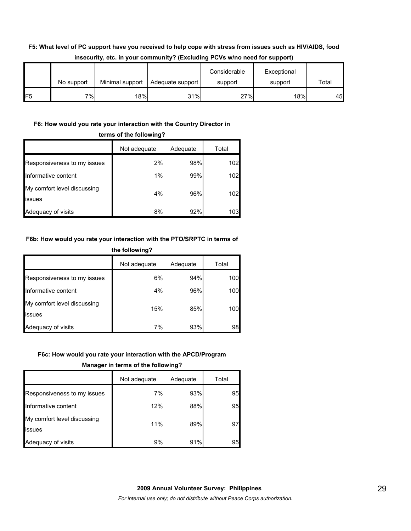## **F5: What level of PC support have you received to help cope with stress from issues such as HIV/AIDS, food insecurity, etc. in your community? (Excluding PCVs w/no need for support)**

|                 | No support | Minimal support | Adequate support | Considerable<br>support | Exceptional<br>support | Total |
|-----------------|------------|-----------------|------------------|-------------------------|------------------------|-------|
| IF <sub>5</sub> | $7\%$      | 18%             | 31%              | 27%                     | 18%                    | 45    |

## **F6: How would you rate your interaction with the Country Director in**

| terms of the following?               |              |          |       |  |  |
|---------------------------------------|--------------|----------|-------|--|--|
|                                       | Not adequate | Adequate | Total |  |  |
| Responsiveness to my issues           | 2%           | 98%      | 102   |  |  |
| Informative content                   | 1%           | 99%      | 102   |  |  |
| My comfort level discussing<br>issues | 4%           | 96%      | 102   |  |  |
| Adequacy of visits                    | 8%           | 92%      | 103   |  |  |

## **F6b: How would you rate your interaction with the PTO/SRPTC in terms of**

| the following?                        |              |          |       |  |
|---------------------------------------|--------------|----------|-------|--|
|                                       | Not adequate | Adequate | Total |  |
| Responsiveness to my issues           | 6%           | 94%      | 100   |  |
| Informative content                   | 4%           | 96%      | 100   |  |
| My comfort level discussing<br>issues | 15%          | 85%      | 100   |  |
| Adequacy of visits                    | 7%           | 93%      | 98    |  |

## **F6c: How would you rate your interaction with the APCD/Program**

**Manager in terms of the following?**

|                                       | Not adequate | Adequate | Total |
|---------------------------------------|--------------|----------|-------|
| Responsiveness to my issues           | 7%           | 93%      | 95    |
| Informative content                   | 12%          | 88%      | 95    |
| My comfort level discussing<br>issues | 11%          | 89%      | 97    |
| Adequacy of visits                    | 9%           | 91%      | 95    |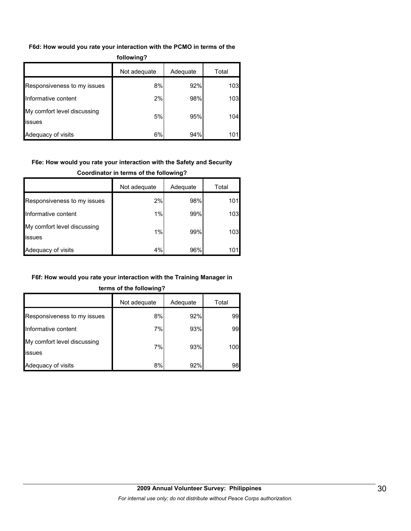#### **F6d: How would you rate your interaction with the PCMO in terms of the**

| following?                            |              |          |       |  |  |
|---------------------------------------|--------------|----------|-------|--|--|
|                                       | Not adequate | Adequate | Total |  |  |
| Responsiveness to my issues           | 8%           | 92%      | 103   |  |  |
| Informative content                   | 2%           | 98%      | 103   |  |  |
| My comfort level discussing<br>issues | 5%           | 95%      | 104   |  |  |
| Adequacy of visits                    | 6%           | 94%      | 101   |  |  |

## **F6e: How would you rate your interaction with the Safety and Security**

#### **Coordinator in terms of the following?**

|                                       | Not adequate | Adequate | Total |
|---------------------------------------|--------------|----------|-------|
| Responsiveness to my issues           | 2%           | 98%      | 101   |
| Informative content                   | 1%           | 99%      | 103   |
| My comfort level discussing<br>issues | 1%           | 99%      | 103   |
| Adequacy of visits                    | 4%           | 96%      |       |

#### **F6f: How would you rate your interaction with the Training Manager in**

## **terms of the following?**

|                                       | Not adequate | Adequate | Total |
|---------------------------------------|--------------|----------|-------|
| Responsiveness to my issues           | 8%           | 92%      | 99    |
| Informative content                   | 7%           | 93%      | 99    |
| My comfort level discussing<br>issues | 7%           | 93%      | 100   |
| Adequacy of visits                    | 8%           | 92%      | 98    |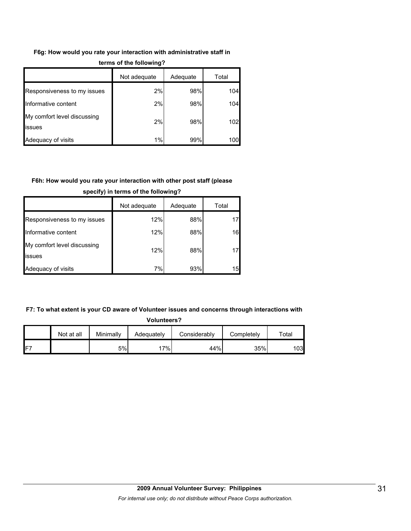## **F6g: How would you rate your interaction with administrative staff in terms of the following?**

|                                       | Not adequate | Adequate | Total |  |  |
|---------------------------------------|--------------|----------|-------|--|--|
| Responsiveness to my issues           | 2%           | 98%      | 104   |  |  |
| Informative content                   | 2%           | 98%      | 104   |  |  |
| My comfort level discussing<br>issues | 2%           | 98%      | 102   |  |  |
| Adequacy of visits                    | 1%           | 99%      | 100   |  |  |

## **F6h: How would you rate your interaction with other post staff (please**

|                                       | Not adequate | Adequate | Total |
|---------------------------------------|--------------|----------|-------|
| Responsiveness to my issues           | 12%          | 88%      |       |
| Informative content                   | 12%          | 88%      | 16    |
| My comfort level discussing<br>issues | 12%          | 88%      |       |
| Adequacy of visits                    | 7%           | 93%      | 15    |

## **specify) in terms of the following?**

## **F7: To what extent is your CD aware of Volunteer issues and concerns through interactions with**

| <b>Volunteers?</b> |            |           |            |              |            |       |  |  |  |  |
|--------------------|------------|-----------|------------|--------------|------------|-------|--|--|--|--|
|                    | Not at all | Minimally | Adequately | Considerably | Completely | Total |  |  |  |  |
| IF <sub>7</sub>    |            | 5%        | 17%        | 44%          | 35%        | 103   |  |  |  |  |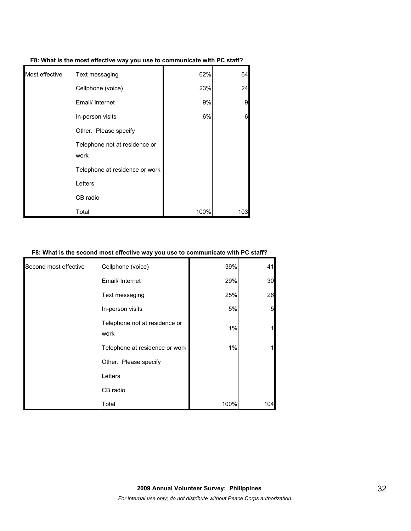| F8: What is the most effective way you use to communicate with PC staff? |
|--------------------------------------------------------------------------|
|                                                                          |

| Most effective | Text messaging                        | 62%  | 64  |
|----------------|---------------------------------------|------|-----|
|                | Cellphone (voice)                     | 23%  | 24  |
|                | Email/ Internet                       | 9%   | 9   |
|                | In-person visits                      | 6%   | 6   |
|                | Other. Please specify                 |      |     |
|                | Telephone not at residence or<br>work |      |     |
|                | Telephone at residence or work        |      |     |
|                | Letters                               |      |     |
|                | CB radio                              |      |     |
|                | Total                                 | 100% | 103 |

## **F8: What is the second most effective way you use to communicate with PC staff?**

| Second most effective | Cellphone (voice)                     | 39%  | 41  |
|-----------------------|---------------------------------------|------|-----|
|                       | Email/ Internet                       | 29%  | 30  |
|                       | Text messaging                        | 25%  | 26  |
|                       | In-person visits                      | 5%   | 5   |
|                       | Telephone not at residence or<br>work | 1%   |     |
|                       | Telephone at residence or work        | 1%   |     |
|                       | Other. Please specify                 |      |     |
|                       | Letters                               |      |     |
|                       | CB radio                              |      |     |
|                       | Total                                 | 100% | 104 |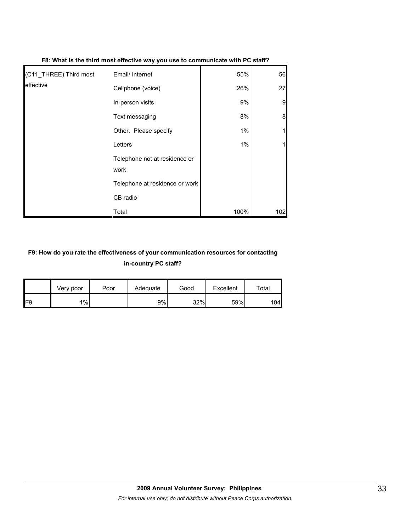| (C11_THREE) Third most | Email/ Internet                       | 55%  | 56  |
|------------------------|---------------------------------------|------|-----|
| effective              | Cellphone (voice)                     | 26%  | 27  |
|                        | In-person visits                      | 9%   | 9   |
|                        | Text messaging                        | 8%   | 8   |
|                        | Other. Please specify                 | 1%   |     |
|                        | Letters                               | 1%   |     |
|                        | Telephone not at residence or<br>work |      |     |
|                        | Telephone at residence or work        |      |     |
|                        | CB radio                              |      |     |
|                        | Total                                 | 100% | 102 |

#### **F8: What is the third most effective way you use to communicate with PC staff?**

## **F9: How do you rate the effectiveness of your communication resources for contacting in-country PC staff?**

|                 | Very poor | Poor | Adequate | Good | Excellent | $\tau$ otal |
|-----------------|-----------|------|----------|------|-----------|-------------|
| IF <sub>9</sub> | 1%        |      | 9%       | 32%  | 59%       | 104l        |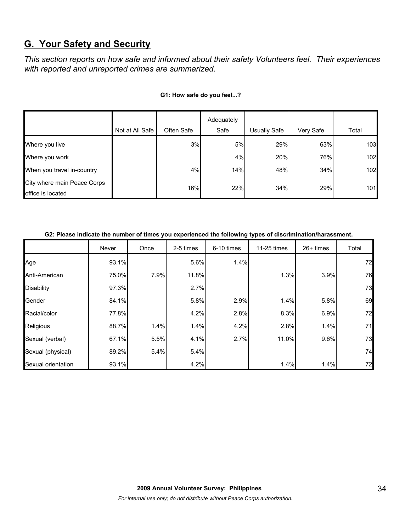## **G. Your Safety and Security**

*This section reports on how safe and informed about their safety Volunteers feel. Their experiences with reported and unreported crimes are summarized.* 

|                                                  | Not at All Safe | Often Safe | Adequately<br>Safe | Usually Safe | Very Safe | Total |
|--------------------------------------------------|-----------------|------------|--------------------|--------------|-----------|-------|
| Where you live                                   |                 | 3%         | 5%                 | 29%          | 63%       | 103   |
| Where you work                                   |                 |            | 4%                 | 20%          | 76%       | 102   |
| When you travel in-country                       |                 | 4%         | 14%                | 48%          | 34%       | 102   |
| City where main Peace Corps<br>office is located |                 | 16%        | 22%                | 34%          | 29%       | 101   |

#### **G1: How safe do you feel...?**

| G2: Please indicate the number of times you experienced the following types of discrimination/harassment. |  |  |
|-----------------------------------------------------------------------------------------------------------|--|--|

|                    | Never | Once | 2-5 times | 6-10 times | 11-25 times | $26+$ times | Total |
|--------------------|-------|------|-----------|------------|-------------|-------------|-------|
| Age                | 93.1% |      | 5.6%      | 1.4%       |             |             | 72    |
| Anti-American      | 75.0% | 7.9% | 11.8%     |            | 1.3%        | 3.9%        | 76    |
| <b>Disability</b>  | 97.3% |      | 2.7%      |            |             |             | 73    |
| Gender             | 84.1% |      | 5.8%      | 2.9%       | 1.4%        | 5.8%        | 69    |
| Racial/color       | 77.8% |      | 4.2%      | 2.8%       | 8.3%        | 6.9%        | 72    |
| Religious          | 88.7% | 1.4% | 1.4%      | 4.2%       | 2.8%        | 1.4%        | 71    |
| Sexual (verbal)    | 67.1% | 5.5% | 4.1%      | 2.7%       | 11.0%       | 9.6%        | 73    |
| Sexual (physical)  | 89.2% | 5.4% | 5.4%      |            |             |             | 74    |
| Sexual orientation | 93.1% |      | 4.2%      |            | 1.4%        | 1.4%        | 72    |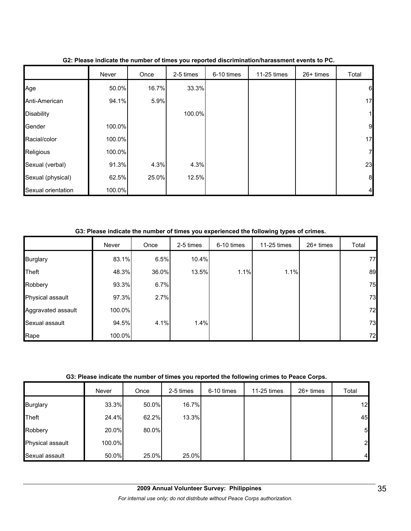|                    | Never  | Once  | 2-5 times | 6-10 times | 11-25 times | 26+ times | Total            |
|--------------------|--------|-------|-----------|------------|-------------|-----------|------------------|
| Age                | 50.0%  | 16.7% | 33.3%     |            |             |           | $6\phantom{.0}$  |
| Anti-American      | 94.1%  | 5.9%  |           |            |             |           | 17               |
| <b>Disability</b>  |        |       | 100.0%    |            |             |           | $\mathbf 1$      |
| Gender             | 100.0% |       |           |            |             |           | $\overline{9}$   |
| Racial/color       | 100.0% |       |           |            |             |           | 17               |
| Religious          | 100.0% |       |           |            |             |           | $\overline{7}$   |
| Sexual (verbal)    | 91.3%  | 4.3%  | 4.3%      |            |             |           | 23               |
| Sexual (physical)  | 62.5%  | 25.0% | 12.5%     |            |             |           | $\boldsymbol{8}$ |
| Sexual orientation | 100.0% |       |           |            |             |           | $\overline{4}$   |

## **G2: Please indicate the number of times you reported discrimination/harassment events to PC.**

**G3: Please indicate the number of times you experienced the following types of crimes.**

|                    | Never  | Once  | 2-5 times | 6-10 times | 11-25 times | $26+$ times | Total |
|--------------------|--------|-------|-----------|------------|-------------|-------------|-------|
| <b>Burglary</b>    | 83.1%  | 6.5%  | 10.4%     |            |             |             | 77    |
| Theft              | 48.3%  | 36.0% | 13.5%     | 1.1%       | 1.1%        |             | 89    |
| Robbery            | 93.3%  | 6.7%  |           |            |             |             | 75    |
| Physical assault   | 97.3%  | 2.7%  |           |            |             |             | 73    |
| Aggravated assault | 100.0% |       |           |            |             |             | 72    |
| Sexual assault     | 94.5%  | 4.1%  | 1.4%      |            |             |             | 73    |
| Rape               | 100.0% |       |           |            |             |             | 72    |

## **G3: Please indicate the number of times you reported the following crimes to Peace Corps.**

|                  | Never  | Once  | 2-5 times | 6-10 times | 11-25 times | 26+ times | Total          |
|------------------|--------|-------|-----------|------------|-------------|-----------|----------------|
| <b>Burglary</b>  | 33.3%  | 50.0% | 16.7%     |            |             |           | 12             |
| Theft            | 24.4%  | 62.2% | 13.3%     |            |             |           | 45             |
| Robbery          | 20.0%  | 80.0% |           |            |             |           | 5              |
| Physical assault | 100.0% |       |           |            |             |           | $\overline{2}$ |
| Sexual assault   | 50.0%  | 25.0% | 25.0%     |            |             |           | 4              |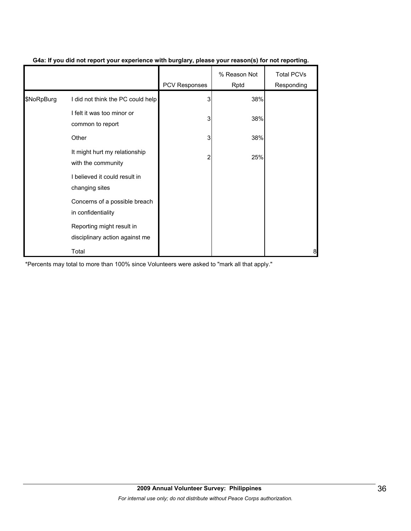|            |                                                             | PCV Responses | % Reason Not<br>Rptd | <b>Total PCVs</b><br>Responding |
|------------|-------------------------------------------------------------|---------------|----------------------|---------------------------------|
| \$NoRpBurg | I did not think the PC could help                           | 3             | 38%                  |                                 |
|            | I felt it was too minor or<br>common to report              | 3             | 38%                  |                                 |
|            | Other                                                       | 3             | 38%                  |                                 |
|            | It might hurt my relationship<br>with the community         | 2             | 25%                  |                                 |
|            | I believed it could result in<br>changing sites             |               |                      |                                 |
|            | Concerns of a possible breach<br>in confidentiality         |               |                      |                                 |
|            | Reporting might result in<br>disciplinary action against me |               |                      |                                 |
|            | Total                                                       |               |                      | 8                               |

## **G4a: If you did not report your experience with burglary, please your reason(s) for not reporting.**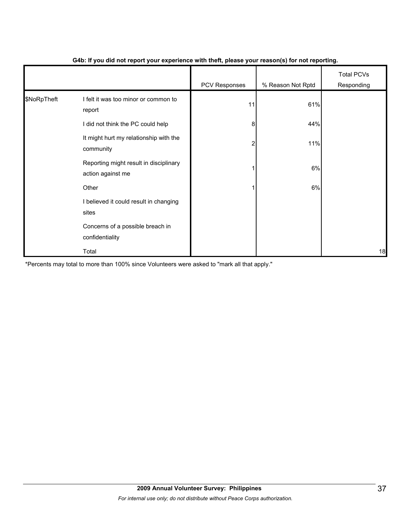|             |                                                             | $\cdot$ .     | $\cdot$           |                                 |
|-------------|-------------------------------------------------------------|---------------|-------------------|---------------------------------|
|             |                                                             | PCV Responses | % Reason Not Rptd | <b>Total PCVs</b><br>Responding |
| \$NoRpTheft | I felt it was too minor or common to<br>report              | 11            | 61%               |                                 |
|             | I did not think the PC could help                           | 8             | 44%               |                                 |
|             | It might hurt my relationship with the<br>community         | 2             | 11%               |                                 |
|             | Reporting might result in disciplinary<br>action against me |               | 6%                |                                 |
|             | Other                                                       |               | 6%                |                                 |
|             | I believed it could result in changing<br>sites             |               |                   |                                 |
|             | Concerns of a possible breach in<br>confidentiality         |               |                   |                                 |
|             | Total                                                       |               |                   | 18                              |

## **G4b: If you did not report your experience with theft, please your reason(s) for not reporting.**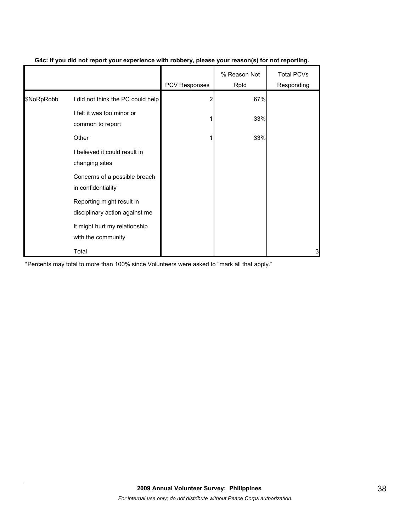|            |                                                             | <b>PCV Responses</b> | % Reason Not<br>Rptd | <b>Total PCVs</b><br>Responding |
|------------|-------------------------------------------------------------|----------------------|----------------------|---------------------------------|
| \$NoRpRobb | I did not think the PC could help                           | 2                    | 67%                  |                                 |
|            | I felt it was too minor or<br>common to report              |                      | 33%                  |                                 |
|            | Other                                                       |                      | 33%                  |                                 |
|            | I believed it could result in<br>changing sites             |                      |                      |                                 |
|            | Concerns of a possible breach<br>in confidentiality         |                      |                      |                                 |
|            | Reporting might result in<br>disciplinary action against me |                      |                      |                                 |
|            | It might hurt my relationship<br>with the community         |                      |                      |                                 |
|            | Total                                                       |                      |                      | 3                               |

### **G4c: If you did not report your experience with robbery, please your reason(s) for not reporting.**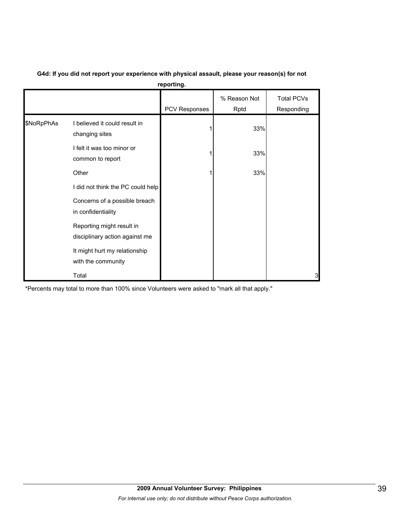|            |                                                             | reporting.    |                      |                                 |
|------------|-------------------------------------------------------------|---------------|----------------------|---------------------------------|
|            |                                                             | PCV Responses | % Reason Not<br>Rptd | <b>Total PCVs</b><br>Responding |
| \$NoRpPhAs | I believed it could result in<br>changing sites             |               | 33%                  |                                 |
|            | I felt it was too minor or<br>common to report              |               | 33%                  |                                 |
|            | Other                                                       |               | 33%                  |                                 |
|            | I did not think the PC could help                           |               |                      |                                 |
|            | Concerns of a possible breach<br>in confidentiality         |               |                      |                                 |
|            | Reporting might result in<br>disciplinary action against me |               |                      |                                 |
|            | It might hurt my relationship<br>with the community         |               |                      |                                 |
|            | Total                                                       |               |                      | 3                               |

#### **G4d: If you did not report your experience with physical assault, please your reason(s) for not reporting.**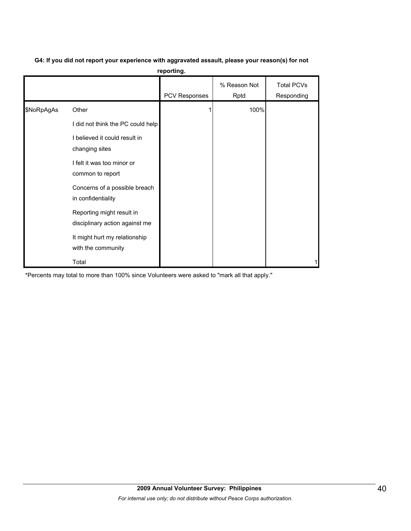| G4: If you did not report your experience with aggravated assault, please your reason(s) for not |
|--------------------------------------------------------------------------------------------------|
| reporting.                                                                                       |

|            |                                                             | PCV Responses | % Reason Not<br>Rptd | <b>Total PCVs</b><br>Responding |
|------------|-------------------------------------------------------------|---------------|----------------------|---------------------------------|
| \$NoRpAgAs | Other                                                       |               | 100%                 |                                 |
|            | I did not think the PC could help                           |               |                      |                                 |
|            | I believed it could result in<br>changing sites             |               |                      |                                 |
|            | I felt it was too minor or<br>common to report              |               |                      |                                 |
|            | Concerns of a possible breach<br>in confidentiality         |               |                      |                                 |
|            | Reporting might result in<br>disciplinary action against me |               |                      |                                 |
|            | It might hurt my relationship<br>with the community         |               |                      |                                 |
|            | Total                                                       |               |                      |                                 |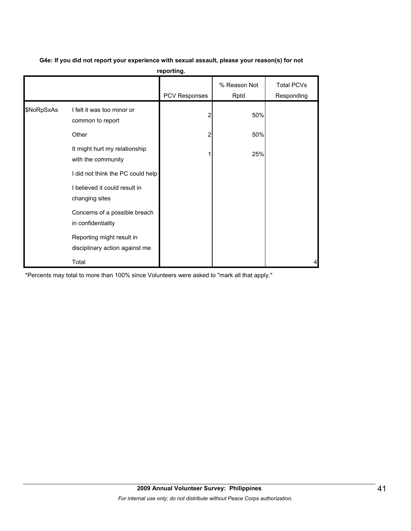|  | G4e: If you did not report your experience with sexual assault, please your reason(s) for not |  |
|--|-----------------------------------------------------------------------------------------------|--|
|--|-----------------------------------------------------------------------------------------------|--|

**reporting.**

|            |                                                             | PCV Responses | % Reason Not<br>Rptd | <b>Total PCVs</b><br>Responding |
|------------|-------------------------------------------------------------|---------------|----------------------|---------------------------------|
| \$NoRpSxAs | I felt it was too minor or<br>common to report              | 2             | 50%                  |                                 |
|            | Other                                                       | 2             | 50%                  |                                 |
|            | It might hurt my relationship<br>with the community         |               | 25%                  |                                 |
|            | I did not think the PC could help                           |               |                      |                                 |
|            | I believed it could result in<br>changing sites             |               |                      |                                 |
|            | Concerns of a possible breach<br>in confidentiality         |               |                      |                                 |
|            | Reporting might result in<br>disciplinary action against me |               |                      |                                 |
|            | Total                                                       |               |                      | 4                               |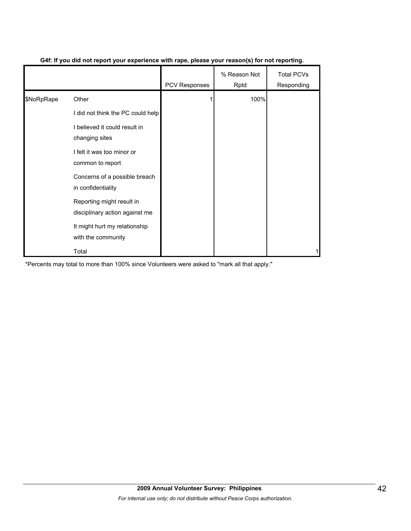|            |                                                             | <b>PCV Responses</b> | % Reason Not<br>Rptd | <b>Total PCVs</b><br>Responding |
|------------|-------------------------------------------------------------|----------------------|----------------------|---------------------------------|
| \$NoRpRape | Other                                                       |                      | 100%                 |                                 |
|            | I did not think the PC could help                           |                      |                      |                                 |
|            | I believed it could result in<br>changing sites             |                      |                      |                                 |
|            | I felt it was too minor or<br>common to report              |                      |                      |                                 |
|            | Concerns of a possible breach<br>in confidentiality         |                      |                      |                                 |
|            | Reporting might result in<br>disciplinary action against me |                      |                      |                                 |
|            | It might hurt my relationship<br>with the community         |                      |                      |                                 |
|            | Total                                                       |                      |                      |                                 |

## **G4f: If you did not report your experience with rape, please your reason(s) for not reporting.**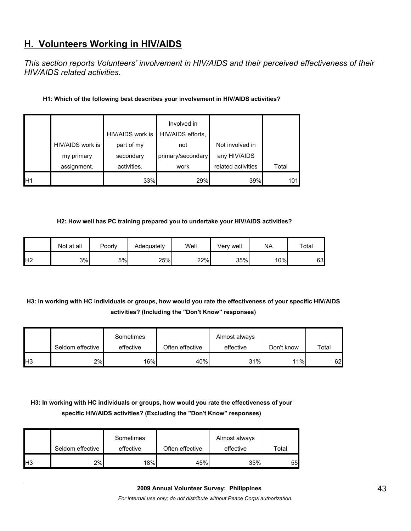## **H. Volunteers Working in HIV/AIDS**

*This section reports Volunteers' involvement in HIV/AIDS and their perceived effectiveness of their HIV/AIDS related activities.* 

## **H1: Which of the following best describes your involvement in HIV/AIDS activities?**

|                 |                                | HIV/AIDS work is        | Involved in<br>HIV/AIDS efforts, |                                 |       |
|-----------------|--------------------------------|-------------------------|----------------------------------|---------------------------------|-------|
|                 | HIV/AIDS work is<br>my primary | part of my<br>secondary | not<br>primary/secondary         | Not involved in<br>any HIV/AIDS |       |
|                 | assignment.                    | activities.             | work                             | related activities              | Total |
| IH <sub>1</sub> |                                | 33%                     | 29%                              | 39%                             | 101   |

#### **H2: How well has PC training prepared you to undertake your HIV/AIDS activities?**

|                | Not at all | Poorly | Adequately | Well | Verv well | <b>NA</b> | Total |
|----------------|------------|--------|------------|------|-----------|-----------|-------|
| H <sub>2</sub> | 3%         | 5%     | 25%        | 22%  | 35%       | 10%       | 63    |

## **H3: In working with HC individuals or groups, how would you rate the effectiveness of your specific HIV/AIDS activities? (Including the "Don't Know" responses)**

|                 | Seldom effective | Sometimes<br>effective | Often effective | Almost always<br>effective | Don't know | Total |
|-----------------|------------------|------------------------|-----------------|----------------------------|------------|-------|
| IH <sub>3</sub> | 2%               | 16%                    | 40%             | 31%                        | 11%        | 62    |

## **H3: In working with HC individuals or groups, how would you rate the effectiveness of your specific HIV/AIDS activities? (Excluding the "Don't Know" responses)**

|                | Seldom effective | Sometimes<br>effective | Often effective | Almost always<br>effective | Total |
|----------------|------------------|------------------------|-----------------|----------------------------|-------|
| H <sub>3</sub> | 2%               | 18%                    | 45%             | 35%                        | 55    |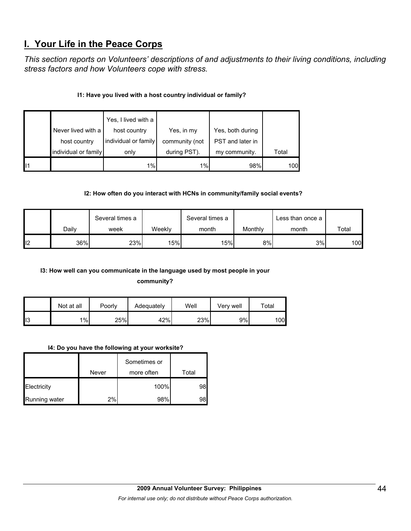## **I. Your Life in the Peace Corps**

*This section reports on Volunteers' descriptions of and adjustments to their living conditions, including stress factors and how Volunteers cope with stress.* 

## **I1: Have you lived with a host country individual or family?**

|    | Never lived with a   | Yes, I lived with a<br>host country | Yes, in my     | Yes, both during |       |
|----|----------------------|-------------------------------------|----------------|------------------|-------|
|    | host country         | individual or family                | community (not | PST and later in |       |
|    | individual or family | only                                | during PST).   | my community.    | Total |
| 11 |                      | 1%                                  | 1%             | 98%              | 100   |

## **I2: How often do you interact with HCNs in community/family social events?**

|     |       | Several times a |        | Several times a |         | Less than once a |       |
|-----|-------|-----------------|--------|-----------------|---------|------------------|-------|
|     | Dailv | week            | Weeklv | month           | Monthly | month            | Total |
| ll2 | 36%   | 23%             | 15%    | 15%             | 8%      | 3%               | 100   |

# **I3: How well can you communicate in the language used by most people in your**

**community?** 

|                 | Not at all | Poorly | Adequately | Well | Verv well | $\tau$ otal |
|-----------------|------------|--------|------------|------|-----------|-------------|
| l <sub>13</sub> | $1\%$      | 25%    | 42%        | 23%  | 9%        | 100         |

## **I4: Do you have the following at your worksite?**

|               | Never | Sometimes or<br>more often | Total |
|---------------|-------|----------------------------|-------|
| Electricity   |       | 100%                       | 98    |
| Running water | 2%    | 98%                        | 98    |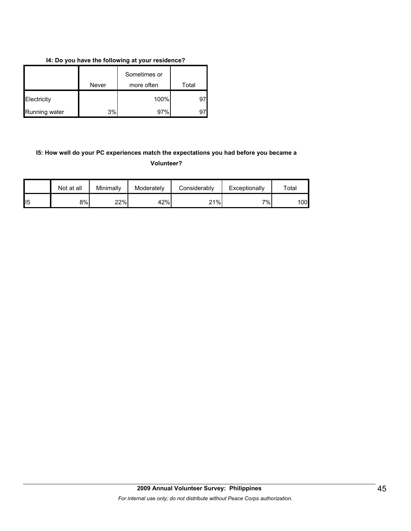### **I4: Do you have the following at your residence?**

|               | Never | Sometimes or<br>more often | Total |
|---------------|-------|----------------------------|-------|
| Electricity   |       | 100%                       | 97    |
| Running water | 3%    | 97%                        |       |

## **I5: How well do your PC experiences match the expectations you had before you became a Volunteer?**

|                 | Not at all | Minimally | Moderately | Considerably | Exceptionally | $\mathsf{^{r}otal}$ |
|-----------------|------------|-----------|------------|--------------|---------------|---------------------|
| II <sub>5</sub> | 8%         | 22%       | 42%        | 21%          | י וס⁄         | .00l                |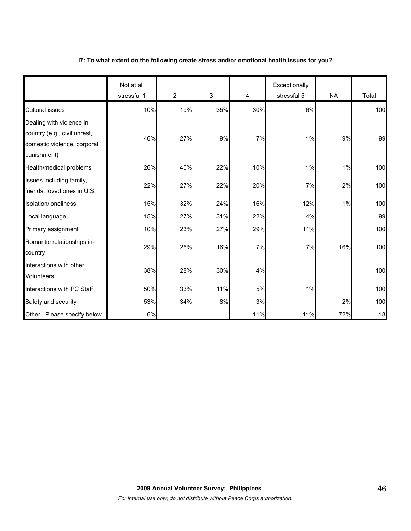### **I7: To what extent do the following create stress and/or emotional health issues for you?**

|                                                                                                        | Not at all<br>stressful 1 | 2   | 3     | 4   | Exceptionally<br>stressful 5 | <b>NA</b> | Total |
|--------------------------------------------------------------------------------------------------------|---------------------------|-----|-------|-----|------------------------------|-----------|-------|
| <b>Cultural issues</b>                                                                                 | 10%                       | 19% | 35%   | 30% | 6%                           |           | 100   |
| Dealing with violence in<br>country (e.g., civil unrest,<br>domestic violence, corporal<br>punishment) | 46%                       | 27% | 9%    | 7%  | 1%                           | 9%        | 99    |
| Health/medical problems                                                                                | 26%                       | 40% | 22%   | 10% | $1\%$                        | 1%        | 100   |
| Issues including family,<br>friends, loved ones in U.S.                                                | 22%                       | 27% | 22%   | 20% | 7%                           | 2%        | 100   |
| Isolation/loneliness                                                                                   | 15%                       | 32% | 24%   | 16% | 12%                          | 1%        | 100   |
| Local language                                                                                         | 15%                       | 27% | 31%   | 22% | 4%                           |           | 99    |
| Primary assignment                                                                                     | 10%                       | 23% | 27%   | 29% | 11%                          |           | 100   |
| Romantic relationships in-<br>country                                                                  | 29%                       | 25% | 16%   | 7%  | 7%                           | 16%       | 100   |
| Interactions with other<br><b>Volunteers</b>                                                           | 38%                       | 28% | 30%   | 4%  |                              |           | 100   |
| Interactions with PC Staff                                                                             | 50%                       | 33% | 11%   | 5%  | 1%                           |           | 100   |
| Safety and security                                                                                    | 53%                       | 34% | $8\%$ | 3%  |                              | 2%        | 100   |
| Other: Please specify below                                                                            | 6%                        |     |       | 11% | 11%                          | 72%       | 18    |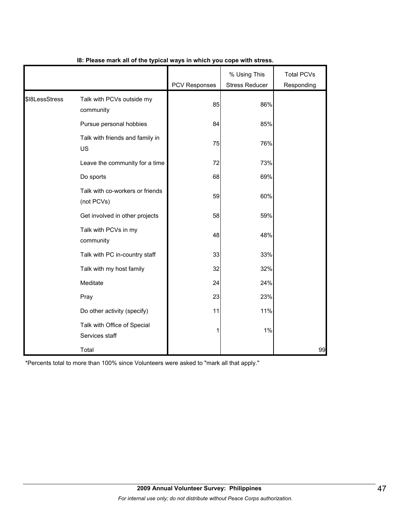|                |                                               | <b>PCV Responses</b> | % Using This<br><b>Stress Reducer</b> | <b>Total PCVs</b><br>Responding |
|----------------|-----------------------------------------------|----------------------|---------------------------------------|---------------------------------|
| \$18LessStress | Talk with PCVs outside my<br>community        | 85                   | 86%                                   |                                 |
|                | Pursue personal hobbies                       | 84                   | 85%                                   |                                 |
|                | Talk with friends and family in<br>US         | 75                   | 76%                                   |                                 |
|                | Leave the community for a time                | 72                   | 73%                                   |                                 |
|                | Do sports                                     | 68                   | 69%                                   |                                 |
|                | Talk with co-workers or friends<br>(not PCVs) | 59                   | 60%                                   |                                 |
|                | Get involved in other projects                | 58                   | 59%                                   |                                 |
|                | Talk with PCVs in my<br>community             | 48                   | 48%                                   |                                 |
|                | Talk with PC in-country staff                 | 33                   | 33%                                   |                                 |
|                | Talk with my host family                      | 32                   | 32%                                   |                                 |
|                | Meditate                                      | 24                   | 24%                                   |                                 |
|                | Pray                                          | 23                   | 23%                                   |                                 |
|                | Do other activity (specify)                   | 11                   | 11%                                   |                                 |
|                | Talk with Office of Special<br>Services staff |                      | 1%                                    |                                 |
|                | Total                                         |                      |                                       | 99                              |

## **I8: Please mark all of the typical ways in which you cope with stress.**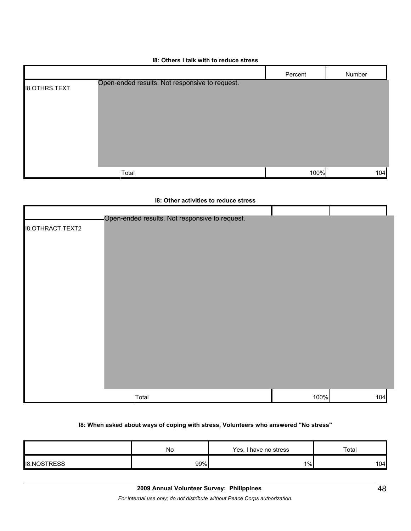|                      |                                                | Percent | Number |
|----------------------|------------------------------------------------|---------|--------|
| <b>I8.OTHRS.TEXT</b> | Open-ended results. Not responsive to request. |         |        |
|                      | Total                                          | 100%    | 104    |

#### **I8: Others I talk with to reduce stress**

#### **I8: Other activities to reduce stress**

|                         | Open-ended results. Not responsive to request. |      |     |
|-------------------------|------------------------------------------------|------|-----|
| <b>I8.OTHRACT.TEXT2</b> |                                                |      |     |
|                         |                                                |      |     |
|                         |                                                |      |     |
|                         |                                                |      |     |
|                         |                                                |      |     |
|                         |                                                |      |     |
|                         |                                                |      |     |
|                         |                                                |      |     |
|                         |                                                |      |     |
|                         |                                                |      |     |
|                         |                                                |      |     |
|                         | Total                                          | 100% | 104 |

#### **I8: When asked about ways of coping with stress, Volunteers who answered "No stress"**

|                    | No  | Yes, r<br>I have no stress | Total            |
|--------------------|-----|----------------------------|------------------|
| <b>IB.NOSTRESS</b> | 99% | $1\%$                      | 104 <sub>h</sub> |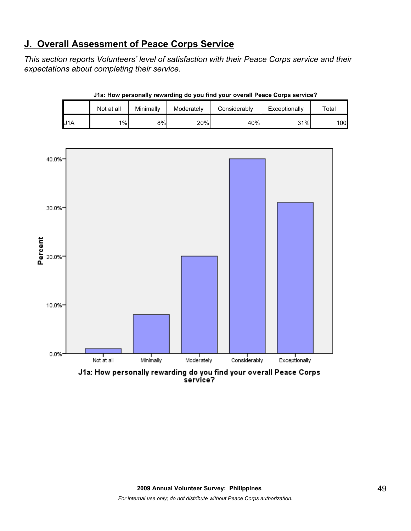# **J. Overall Assessment of Peace Corps Service**

*This section reports Volunteers' level of satisfaction with their Peace Corps service and their expectations about completing their service.* 

|                  | Not at all | Minimally | Moderately | Considerably | Exceptionally | $\tau$ otal  |
|------------------|------------|-----------|------------|--------------|---------------|--------------|
| U <sub>1</sub> A | $1\%$      | 8%        | 20%        | 40%          | 31%           | 100 <b>I</b> |

**J1a: How personally rewarding do you find your overall Peace Corps service?**



service?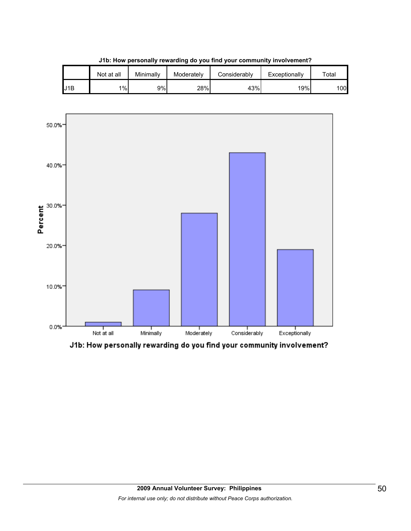|     | Not at all | Minimally | Moderately | Considerablv | Exceptionally | $\tau$ otal |
|-----|------------|-----------|------------|--------------|---------------|-------------|
| J1B | 1%         | 9%        | 28%        | 43%          | 19%           | 100l        |

**J1b: How personally rewarding do you find your community involvement?**



J1b: How personally rewarding do you find your community involvement?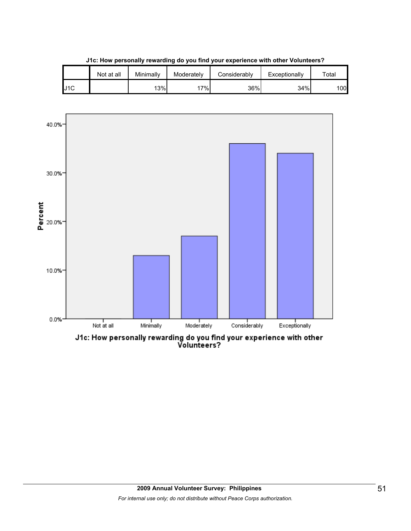|     | Not at all | Minimally | Moderately | Considerablv | Exceptionally | $\tau$ otal |
|-----|------------|-----------|------------|--------------|---------------|-------------|
| J1C |            | 13%       | 7%.        | 36%          | 34%           | 100         |

**J1c: How personally rewarding do you find your experience with other Volunteers?**



J1c: How personally rewarding do you find your experience with other<br>Volunteers?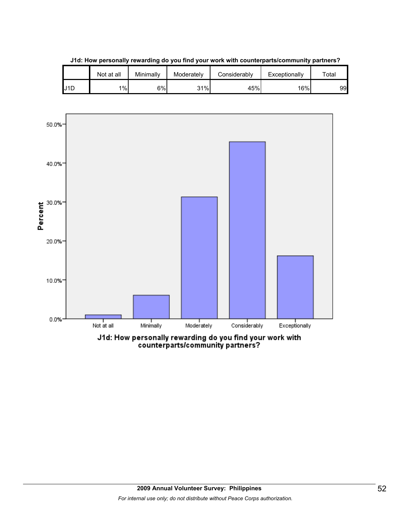

**J1d: How personally rewarding do you find your work with counterparts/community partners?**

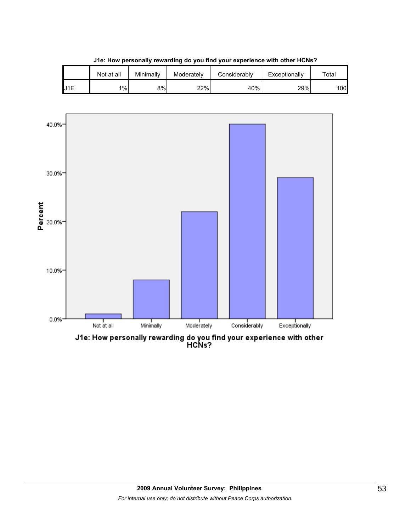

**J1e: How personally rewarding do you find your experience with other HCNs?**

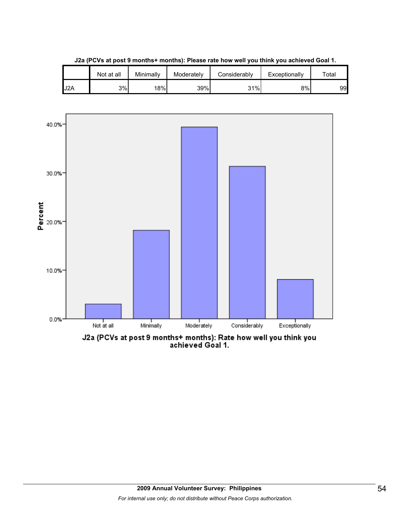|     | Not at all | Minimallv | Moderately | Considerably | Exceptionally | $\tau$ otal |
|-----|------------|-----------|------------|--------------|---------------|-------------|
| J2A | 3%         | 18%       | 39%        | 31%          | 8%            | 99          |

**J2a (PCVs at post 9 months+ months): Please rate how well you think you achieved Goal 1.**

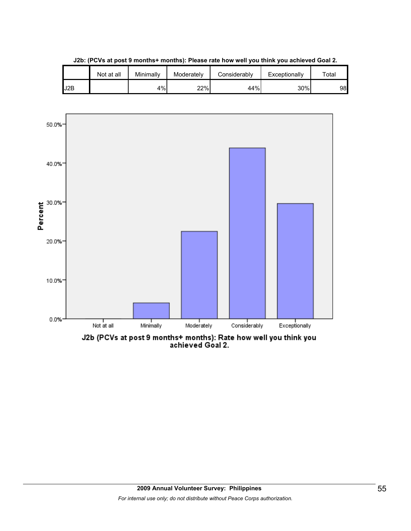|     | Not at all | Minimally | Moderately | Considerably | Exceptionally | $\tau$ otal |
|-----|------------|-----------|------------|--------------|---------------|-------------|
| J2B |            | 4%        | 22%        | 44%          | 30%           | 98          |

**J2b: (PCVs at post 9 months+ months): Please rate how well you think you achieved Goal 2.**

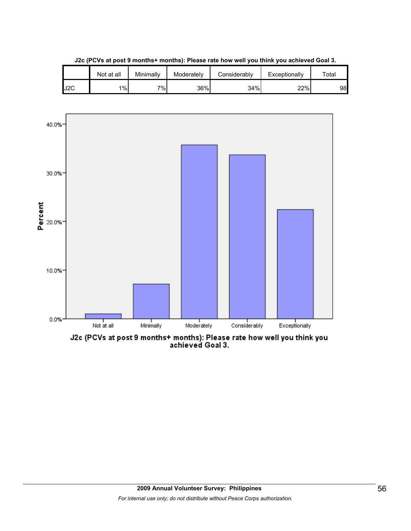

**J2c (PCVs at post 9 months+ months): Please rate how well you think you achieved Goal 3.**



J2c (PCVs at post 9 months+ months): Please rate how well you think you<br>achieved Goal 3.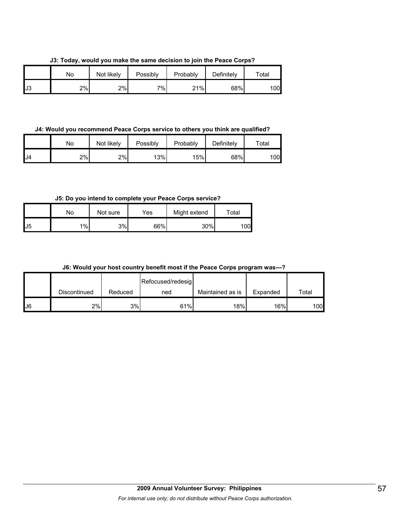**J3: Today, would you make the same decision to join the Peace Corps?**

|    | No | Not likely | Possibly | Probably | Definitely | $\tau$ otal |
|----|----|------------|----------|----------|------------|-------------|
| J3 | 2% | 2%         | 7%       | 21%      | 68%        | 100         |

**J4: Would you recommend Peace Corps service to others you think are qualified?**

|    | No | Not likely | Possibly | Probably | Definitely | $\tau$ otal |
|----|----|------------|----------|----------|------------|-------------|
| J4 | 2% | 2%         | 13%      | 15%      | 68%        | 100l        |

**J5: Do you intend to complete your Peace Corps service?**

|    | No | Not sure | Yes | Might extend | Total |
|----|----|----------|-----|--------------|-------|
| J5 | 1% | 3%       | 66% | 30%          | 00    |

**J6: Would your host country benefit most if the Peace Corps program was---?**

|     |              |         | Refocused/redesig |                  |          |       |
|-----|--------------|---------|-------------------|------------------|----------|-------|
|     | Discontinued | Reduced | ned               | Maintained as is | Expanded | Total |
| IJ6 | 2%           | 3%      | 61%               | 18%              | 16%      | 100   |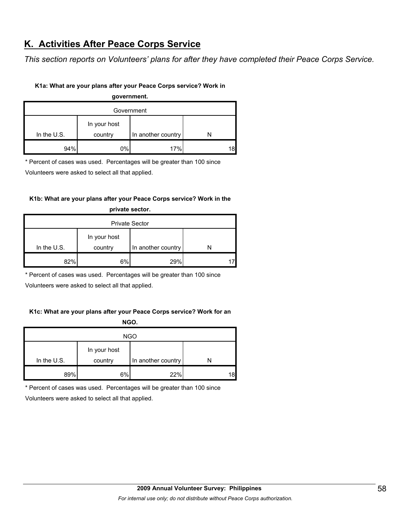## **K. Activities After Peace Corps Service**

*This section reports on Volunteers' plans for after they have completed their Peace Corps Service.* 

## **K1a: What are your plans after your Peace Corps service? Work in**

**government.**

| Government   |         |                                 |  |  |  |  |  |  |
|--------------|---------|---------------------------------|--|--|--|--|--|--|
| In your host |         |                                 |  |  |  |  |  |  |
|              |         |                                 |  |  |  |  |  |  |
| 94%          | country | In another country<br>17%<br>0% |  |  |  |  |  |  |

\* Percent of cases was used. Percentages will be greater than 100 since

Volunteers were asked to select all that applied.

## **K1b: What are your plans after your Peace Corps service? Work in the**

| <b>Private Sector</b> |                         |                    |  |  |  |  |  |  |
|-----------------------|-------------------------|--------------------|--|--|--|--|--|--|
| In the $U.S.$         | In your host<br>country | In another country |  |  |  |  |  |  |
| 82%                   | 6%                      | 29%                |  |  |  |  |  |  |

**private sector.**

\* Percent of cases was used. Percentages will be greater than 100 since

Volunteers were asked to select all that applied.

## **K1c: What are your plans after your Peace Corps service? Work for an NGO.**

| <b>NGO</b>  |              |                    |    |  |  |  |  |  |
|-------------|--------------|--------------------|----|--|--|--|--|--|
|             | In your host |                    |    |  |  |  |  |  |
| In the U.S. | country      | In another country |    |  |  |  |  |  |
| 89%         | 6%           | 22%                | 18 |  |  |  |  |  |

\* Percent of cases was used. Percentages will be greater than 100 since

Volunteers were asked to select all that applied.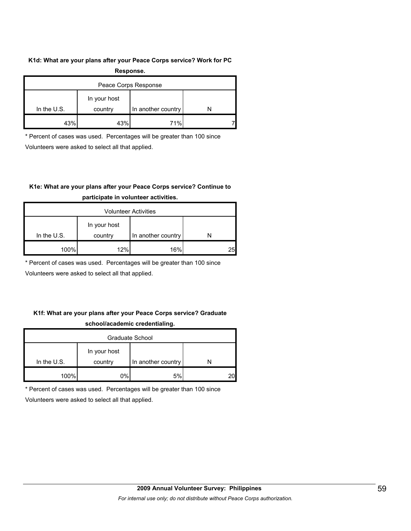#### **K1d: What are your plans after your Peace Corps service? Work for PC**

| Response.            |              |                    |  |  |  |
|----------------------|--------------|--------------------|--|--|--|
| Peace Corps Response |              |                    |  |  |  |
|                      | In your host |                    |  |  |  |
| In the $U.S.$        | country      | In another country |  |  |  |
| 43%                  | 43%          | 71%                |  |  |  |

\* Percent of cases was used. Percentages will be greater than 100 since

Volunteers were asked to select all that applied.

## **K1e: What are your plans after your Peace Corps service? Continue to**

| <b>Volunteer Activities</b> |                         |                    |    |  |
|-----------------------------|-------------------------|--------------------|----|--|
| In the $U.S.$               | In your host<br>country | In another country |    |  |
|                             |                         |                    |    |  |
| 100%                        | 12%                     | 16%                | 25 |  |

## **participate in volunteer activities.**

\* Percent of cases was used. Percentages will be greater than 100 since

Volunteers were asked to select all that applied.

## **K1f: What are your plans after your Peace Corps service? Graduate school/academic credentialing.**

| Graduate School |                         |                    |  |  |
|-----------------|-------------------------|--------------------|--|--|
| In the $U.S.$   | In your host<br>country | In another country |  |  |
| 100%            | 0%                      | 5%                 |  |  |

\* Percent of cases was used. Percentages will be greater than 100 since

Volunteers were asked to select all that applied.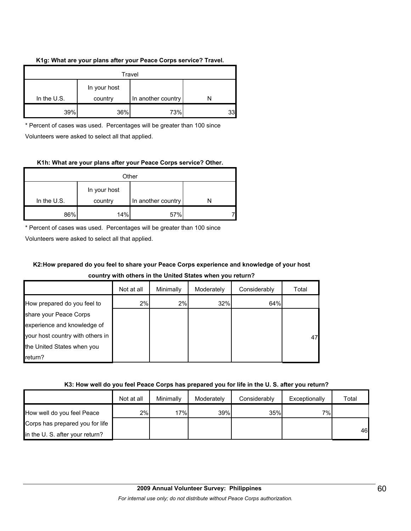## **K1g: What are your plans after your Peace Corps service? Travel.**

| Travel        |                         |                    |    |  |
|---------------|-------------------------|--------------------|----|--|
| In the $U.S.$ | In your host<br>country | In another country |    |  |
| 39%           | 36%                     | 73%                | 33 |  |

\* Percent of cases was used. Percentages will be greater than 100 since Volunteers were asked to select all that applied.

## **K1h: What are your plans after your Peace Corps service? Other.**

| Other       |                         |                    |  |  |  |
|-------------|-------------------------|--------------------|--|--|--|
| In the U.S. | In your host<br>country | In another country |  |  |  |
| 86%         | 14%                     | 57%                |  |  |  |

\* Percent of cases was used. Percentages will be greater than 100 since

Volunteers were asked to select all that applied.

## **K2:How prepared do you feel to share your Peace Corps experience and knowledge of your host**

## **country with others in the United States when you return?**

|                                  | Not at all | Minimally | Moderately | Considerably | Total |
|----------------------------------|------------|-----------|------------|--------------|-------|
| How prepared do you feel to      | 2%         | 2%        | 32%        | 64%          |       |
| share your Peace Corps           |            |           |            |              |       |
| experience and knowledge of      |            |           |            |              |       |
| your host country with others in |            |           |            |              | 47    |
| the United States when you       |            |           |            |              |       |
| return?                          |            |           |            |              |       |

#### **K3: How well do you feel Peace Corps has prepared you for life in the U. S. after you return?**

|                                 | Not at all | Minimally | Moderately | Considerably | Exceptionally | Total |
|---------------------------------|------------|-----------|------------|--------------|---------------|-------|
| How well do you feel Peace      | 2%         | 17%       | 39%        | 35%          | 7%            |       |
| Corps has prepared you for life |            |           |            |              |               |       |
| in the U.S. after your return?  |            |           |            |              |               | 46    |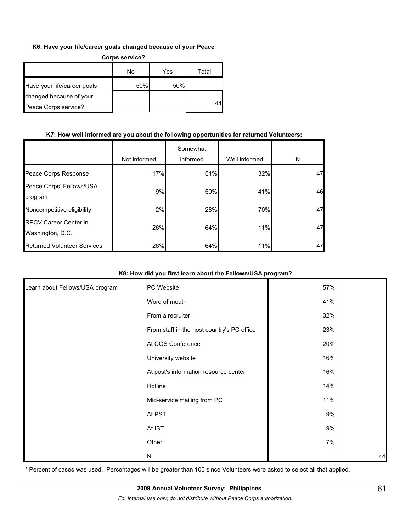## **K6: Have your life/career goals changed because of your Peace**

| <b>Corps service?</b>       |     |     |       |  |  |
|-----------------------------|-----|-----|-------|--|--|
|                             | No  | Yes | Total |  |  |
| Have your life/career goals | 50% | 50% |       |  |  |
| changed because of your     |     |     |       |  |  |
| Peace Corps service?        |     |     |       |  |  |

## **K7: How well informed are you about the following opportunities for returned Volunteers:**

|                                                  | Not informed | Somewhat<br>informed | Well informed | N  |
|--------------------------------------------------|--------------|----------------------|---------------|----|
| Peace Corps Response                             | 17%          | 51%                  | 32%           | 47 |
| Peace Corps' Fellows/USA<br>program              | 9%           | 50%                  | 41%           | 46 |
| Noncompetitive eligibility                       | 2%           | 28%                  | 70%           | 47 |
| <b>RPCV Career Center in</b><br>Washington, D.C. | 26%          | 64%                  | 11%           | 47 |
| <b>Returned Volunteer Services</b>               | 26%          | 64%                  | 11%           | 47 |

## **K8: How did you first learn about the Fellows/USA program?**

| Learn about Fellows/USA program | PC Website                                 | 57%   |    |
|---------------------------------|--------------------------------------------|-------|----|
|                                 | Word of mouth                              | 41%   |    |
|                                 | From a recruiter                           | 32%   |    |
|                                 | From staff in the host country's PC office | 23%   |    |
|                                 | At COS Conference                          | 20%   |    |
|                                 | University website                         | 16%   |    |
|                                 | At post's information resource center      | 16%   |    |
|                                 | Hotline                                    | 14%   |    |
|                                 | Mid-service mailing from PC                | 11%   |    |
|                                 | At PST                                     | 9%    |    |
|                                 | At IST                                     | $9\%$ |    |
|                                 | Other                                      | 7%    |    |
|                                 | N                                          |       | 44 |

\* Percent of cases was used. Percentages will be greater than 100 since Volunteers were asked to select all that applied.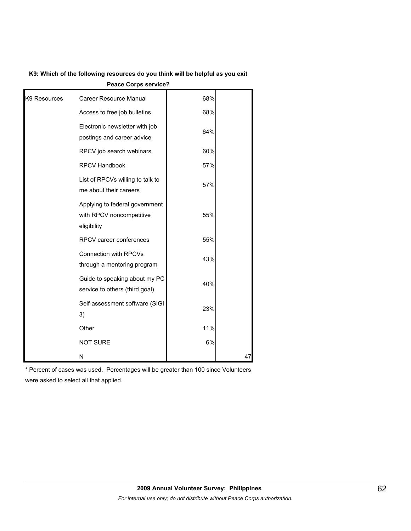## **K9: Which of the following resources do you think will be helpful as you exit**

**Peace Corps service?** Career Resource Manual **Career Resource Manual** 68% Access to free job bulletins  $68\%$ Electronic newsletter with job postings and career advice 64% RPCV job search webinars **compared to the SOM** RPCV Handbook **National Manufacture 197%** List of RPCVs willing to talk to me about their careers 57% Applying to federal government with RPCV noncompetitive eligibility 55% RPCV career conferences  $\overline{55\%}$ Connection with RPCVs through a mentoring program 43% Guide to speaking about my PC service to others (third goal) 40% Self-assessment software (SIGI 3) 23% Other **11%** and 11% NOT SURE 6% K9 Resources N 47

\* Percent of cases was used. Percentages will be greater than 100 since Volunteers were asked to select all that applied.